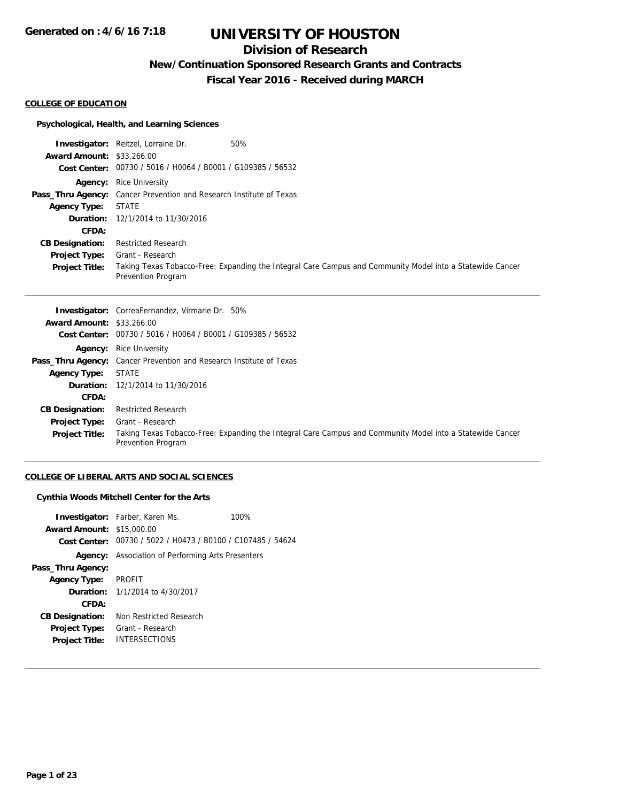# **Division of Research**

**New/Continuation Sponsored Research Grants and Contracts**

**Fiscal Year 2016 - Received during MARCH**

#### **COLLEGE OF EDUCATION**

## **Psychological, Health, and Learning Sciences**

|                                  | <b>Investigator:</b> Reitzel, Lorraine Dr.<br>50%                          |                                                                                                           |
|----------------------------------|----------------------------------------------------------------------------|-----------------------------------------------------------------------------------------------------------|
| <b>Award Amount: \$33,266.00</b> |                                                                            |                                                                                                           |
|                                  | Cost Center: 00730 / 5016 / H0064 / B0001 / G109385 / 56532                |                                                                                                           |
|                                  | <b>Agency:</b> Rice University                                             |                                                                                                           |
|                                  | <b>Pass_Thru Agency:</b> Cancer Prevention and Research Institute of Texas |                                                                                                           |
| <b>Agency Type:</b>              | <b>STATE</b>                                                               |                                                                                                           |
|                                  | <b>Duration:</b> 12/1/2014 to 11/30/2016                                   |                                                                                                           |
| <b>CFDA:</b>                     |                                                                            |                                                                                                           |
| <b>CB Designation:</b>           | <b>Restricted Research</b>                                                 |                                                                                                           |
| <b>Project Type:</b>             | Grant - Research                                                           |                                                                                                           |
| <b>Project Title:</b>            | Prevention Program                                                         | Taking Texas Tobacco-Free: Expanding the Integral Care Campus and Community Model into a Statewide Cancer |

|                                  | <b>Investigator:</b> CorreaFernandez, Virmarie Dr. 50%                                                                          |
|----------------------------------|---------------------------------------------------------------------------------------------------------------------------------|
| <b>Award Amount: \$33,266.00</b> |                                                                                                                                 |
|                                  | Cost Center: 00730 / 5016 / H0064 / B0001 / G109385 / 56532                                                                     |
|                                  | <b>Agency:</b> Rice University                                                                                                  |
|                                  | <b>Pass_Thru Agency:</b> Cancer Prevention and Research Institute of Texas                                                      |
| <b>Agency Type:</b>              | STATE                                                                                                                           |
|                                  | <b>Duration:</b> 12/1/2014 to 11/30/2016                                                                                        |
| CFDA:                            |                                                                                                                                 |
| <b>CB Designation:</b>           | <b>Restricted Research</b>                                                                                                      |
| <b>Project Type:</b>             | Grant - Research                                                                                                                |
| <b>Project Title:</b>            | Taking Texas Tobacco-Free: Expanding the Integral Care Campus and Community Model into a Statewide Cancer<br>Prevention Program |

# **COLLEGE OF LIBERAL ARTS AND SOCIAL SCIENCES**

## **Cynthia Woods Mitchell Center for the Arts**

| <b>Award Amount:</b><br>Cost Center: | <b>Investigator:</b> Farber, Karen Ms.<br>\$15,000.00<br>00730 / 5022 / H0473 / B0100 / C107485 / 54624 | 100% |
|--------------------------------------|---------------------------------------------------------------------------------------------------------|------|
|                                      | <b>Agency:</b> Association of Performing Arts Presenters                                                |      |
| Pass_Thru Agency:                    |                                                                                                         |      |
| <b>Agency Type:</b>                  | <b>PROFIT</b>                                                                                           |      |
|                                      | <b>Duration:</b> $1/1/2014$ to $4/30/2017$                                                              |      |
| CFDA:                                |                                                                                                         |      |
| <b>CB Designation:</b>               | Non Restricted Research                                                                                 |      |
| Project Type:                        | Grant - Research                                                                                        |      |
| <b>Project Title:</b>                | <b>INTERSECTIONS</b>                                                                                    |      |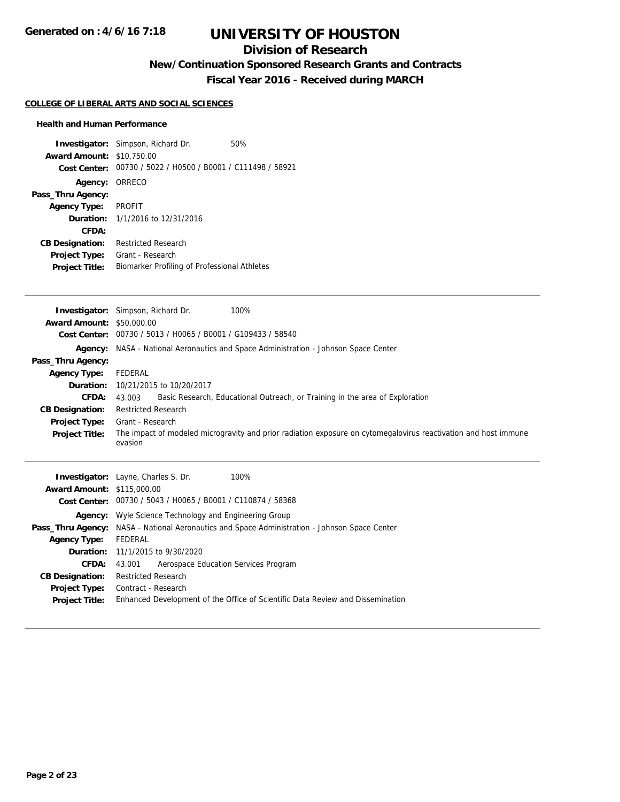# **Division of Research**

**New/Continuation Sponsored Research Grants and Contracts**

**Fiscal Year 2016 - Received during MARCH**

### **COLLEGE OF LIBERAL ARTS AND SOCIAL SCIENCES**

### **Health and Human Performance**

| <b>Award Amount:</b><br>Cost Center: | <b>Investigator:</b> Simpson, Richard Dr.<br>\$10,750.00<br>00730 / 5022 / H0500 / B0001 / C111498 / 58921 | 50% |
|--------------------------------------|------------------------------------------------------------------------------------------------------------|-----|
| Agency: ORRECO                       |                                                                                                            |     |
| Pass_Thru Agency:                    |                                                                                                            |     |
| <b>Agency Type:</b>                  | <b>PROFIT</b>                                                                                              |     |
|                                      | <b>Duration:</b> 1/1/2016 to 12/31/2016                                                                    |     |
| CFDA:                                |                                                                                                            |     |
| <b>CB Designation:</b>               | Restricted Research                                                                                        |     |
| <b>Project Type:</b>                 | Grant - Research                                                                                           |     |
| <b>Project Title:</b>                | Biomarker Profiling of Professional Athletes                                                               |     |

|                                  | <b>Investigator:</b> Simpson, Richard Dr.<br>100%                                                                          |
|----------------------------------|----------------------------------------------------------------------------------------------------------------------------|
| <b>Award Amount: \$50,000.00</b> |                                                                                                                            |
| <b>Cost Center:</b>              | 00730 / 5013 / H0065 / B0001 / G109433 / 58540                                                                             |
|                                  | Agency: NASA - National Aeronautics and Space Administration - Johnson Space Center                                        |
| Pass_Thru Agency:                |                                                                                                                            |
| <b>Agency Type:</b>              | FEDERAL                                                                                                                    |
| Duration:                        | 10/21/2015 to 10/20/2017                                                                                                   |
| <b>CFDA:</b>                     | Basic Research, Educational Outreach, or Training in the area of Exploration<br>43.003                                     |
| <b>CB Designation:</b>           | <b>Restricted Research</b>                                                                                                 |
| <b>Project Type:</b>             | Grant - Research                                                                                                           |
| <b>Project Title:</b>            | The impact of modeled microgravity and prior radiation exposure on cytomegalovirus reactivation and host immune<br>evasion |
| $M$ ward Amount: $$115,000,00$   | <b>Investigator:</b> Layne, Charles S. Dr.<br>100%                                                                         |

| <b>Award Amount: \$115,000.00</b> |                                                                                               |  |  |
|-----------------------------------|-----------------------------------------------------------------------------------------------|--|--|
|                                   | Cost Center: 00730 / 5043 / H0065 / B0001 / C110874 / 58368                                   |  |  |
|                                   | <b>Agency:</b> Wyle Science Technology and Engineering Group                                  |  |  |
|                                   | Pass_Thru Agency: NASA - National Aeronautics and Space Administration - Johnson Space Center |  |  |
| <b>Agency Type:</b>               | FEDERAL                                                                                       |  |  |
|                                   | <b>Duration:</b> 11/1/2015 to 9/30/2020                                                       |  |  |
| <b>CFDA:</b>                      | Aerospace Education Services Program<br>43.001                                                |  |  |
| <b>CB Designation:</b>            | <b>Restricted Research</b>                                                                    |  |  |
| Project Type:                     | Contract - Research                                                                           |  |  |
| <b>Project Title:</b>             | Enhanced Development of the Office of Scientific Data Review and Dissemination                |  |  |
|                                   |                                                                                               |  |  |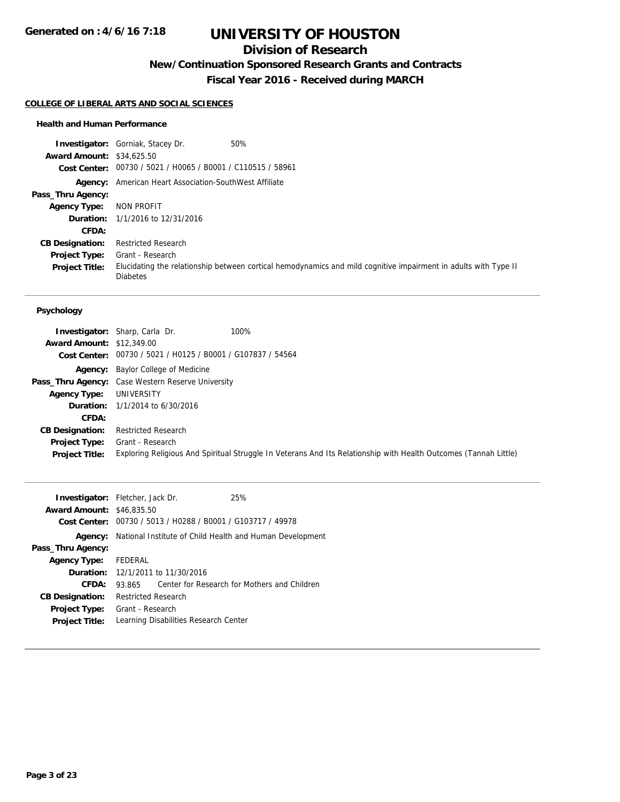# **Division of Research**

**New/Continuation Sponsored Research Grants and Contracts**

**Fiscal Year 2016 - Received during MARCH**

### **COLLEGE OF LIBERAL ARTS AND SOCIAL SCIENCES**

### **Health and Human Performance**

|                                  | 50%<br><b>Investigator:</b> Gorniak, Stacey Dr.               |                                                                                                                 |
|----------------------------------|---------------------------------------------------------------|-----------------------------------------------------------------------------------------------------------------|
| <b>Award Amount: \$34,625.50</b> |                                                               |                                                                                                                 |
|                                  | Cost Center: 00730 / 5021 / H0065 / B0001 / C110515 / 58961   |                                                                                                                 |
|                                  | <b>Agency:</b> American Heart Association-SouthWest Affiliate |                                                                                                                 |
| Pass_Thru Agency:                |                                                               |                                                                                                                 |
| <b>Agency Type:</b>              | NON PROFIT                                                    |                                                                                                                 |
|                                  | <b>Duration:</b> $1/1/2016$ to $12/31/2016$                   |                                                                                                                 |
| <b>CFDA:</b>                     |                                                               |                                                                                                                 |
| <b>CB Designation:</b>           | <b>Restricted Research</b>                                    |                                                                                                                 |
| <b>Project Type:</b>             | Grant - Research                                              |                                                                                                                 |
| <b>Project Title:</b>            | <b>Diabetes</b>                                               | Elucidating the relationship between cortical hemodynamics and mild cognitive impairment in adults with Type II |

### **Psychology**

| <b>Award Amount: \$12,349.00</b>              | <b>Investigator:</b> Sharp, Carla Dr.<br>100%<br>Cost Center: 00730 / 5021 / H0125 / B0001 / G107837 / 54564                         |
|-----------------------------------------------|--------------------------------------------------------------------------------------------------------------------------------------|
|                                               | <b>Agency:</b> Baylor College of Medicine                                                                                            |
|                                               | <b>Pass_Thru Agency:</b> Case Western Reserve University                                                                             |
| <b>Agency Type:</b>                           | UNIVERSITY                                                                                                                           |
|                                               | <b>Duration:</b> $1/1/2014$ to $6/30/2016$                                                                                           |
| <b>CFDA:</b>                                  |                                                                                                                                      |
| <b>CB Designation:</b>                        | <b>Restricted Research</b>                                                                                                           |
| <b>Project Type:</b><br><b>Project Title:</b> | Grant - Research<br>Exploring Religious And Spiritual Struggle In Veterans And Its Relationship with Health Outcomes (Tannah Little) |

| <b>Investigator:</b> Fletcher, Jack Dr. |                            |                                                             | 25%                                                      |
|-----------------------------------------|----------------------------|-------------------------------------------------------------|----------------------------------------------------------|
| <b>Award Amount: \$46,835.50</b>        |                            |                                                             |                                                          |
|                                         |                            | Cost Center: 00730 / 5013 / H0288 / B0001 / G103717 / 49978 |                                                          |
| Agency:                                 |                            |                                                             | National Institute of Child Health and Human Development |
| Pass_Thru Agency:                       |                            |                                                             |                                                          |
| <b>Agency Type:</b>                     | <b>FEDERAL</b>             |                                                             |                                                          |
|                                         |                            | <b>Duration:</b> 12/1/2011 to 11/30/2016                    |                                                          |
| CFDA:                                   | 93.865                     |                                                             | Center for Research for Mothers and Children             |
| <b>CB Designation:</b>                  | <b>Restricted Research</b> |                                                             |                                                          |
| <b>Project Type:</b>                    | Grant - Research           |                                                             |                                                          |
| <b>Project Title:</b>                   |                            | Learning Disabilities Research Center                       |                                                          |
|                                         |                            |                                                             |                                                          |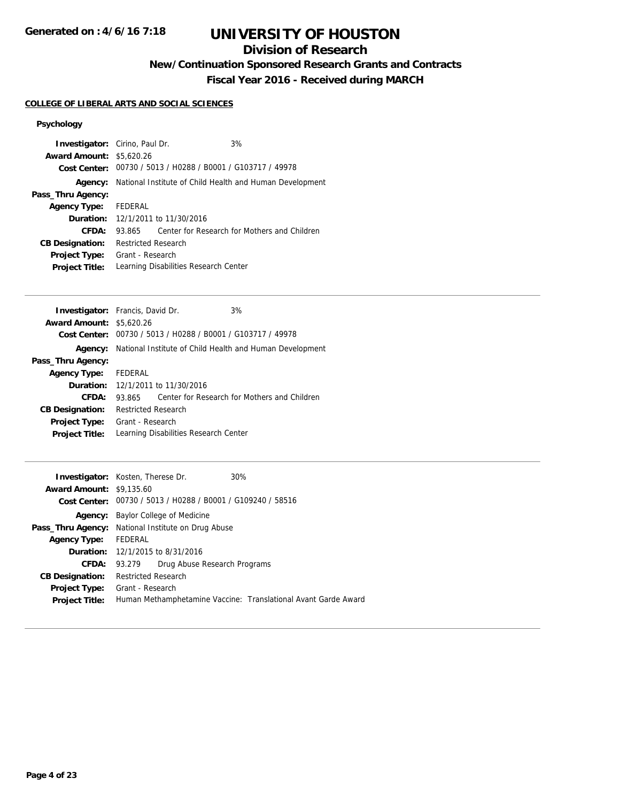# **Division of Research**

**New/Continuation Sponsored Research Grants and Contracts**

**Fiscal Year 2016 - Received during MARCH**

# **COLLEGE OF LIBERAL ARTS AND SOCIAL SCIENCES**

## **Psychology**

|                      |                                 | 3%                                                                                      |                                                                                                                                                                                                                                                              |
|----------------------|---------------------------------|-----------------------------------------------------------------------------------------|--------------------------------------------------------------------------------------------------------------------------------------------------------------------------------------------------------------------------------------------------------------|
|                      |                                 |                                                                                         |                                                                                                                                                                                                                                                              |
|                      |                                 |                                                                                         |                                                                                                                                                                                                                                                              |
|                      |                                 |                                                                                         |                                                                                                                                                                                                                                                              |
|                      |                                 |                                                                                         |                                                                                                                                                                                                                                                              |
| Agency Type: FEDERAL |                                 |                                                                                         |                                                                                                                                                                                                                                                              |
|                      |                                 |                                                                                         |                                                                                                                                                                                                                                                              |
| 93.865               |                                 |                                                                                         |                                                                                                                                                                                                                                                              |
|                      |                                 |                                                                                         |                                                                                                                                                                                                                                                              |
|                      |                                 |                                                                                         |                                                                                                                                                                                                                                                              |
|                      |                                 |                                                                                         |                                                                                                                                                                                                                                                              |
|                      | <b>Award Amount: \$5,620.26</b> | <b>Investigator:</b> Cirino, Paul Dr.<br><b>Restricted Research</b><br>Grant - Research | Cost Center: 00730 / 5013 / H0288 / B0001 / G103717 / 49978<br>National Institute of Child Health and Human Development<br><b>Duration:</b> 12/1/2011 to 11/30/2016<br>Center for Research for Mothers and Children<br>Learning Disabilities Research Center |

| <b>Investigator:</b> Francis, David Dr.  |                            | 3%                                                          |                                                                         |
|------------------------------------------|----------------------------|-------------------------------------------------------------|-------------------------------------------------------------------------|
| <b>Award Amount: \$5,620.26</b>          |                            |                                                             |                                                                         |
|                                          |                            | Cost Center: 00730 / 5013 / H0288 / B0001 / G103717 / 49978 |                                                                         |
|                                          |                            |                                                             | <b>Agency:</b> National Institute of Child Health and Human Development |
| Pass_Thru Agency:                        |                            |                                                             |                                                                         |
| Agency Type: FEDERAL                     |                            |                                                             |                                                                         |
| <b>Duration:</b> 12/1/2011 to 11/30/2016 |                            |                                                             |                                                                         |
| CFDA:                                    | 93.865                     |                                                             | Center for Research for Mothers and Children                            |
| <b>CB Designation:</b>                   | <b>Restricted Research</b> |                                                             |                                                                         |
| <b>Project Type:</b>                     | Grant - Research           |                                                             |                                                                         |
| <b>Project Title:</b>                    |                            | Learning Disabilities Research Center                       |                                                                         |

| <b>Award Amount: \$9,135.60</b> | <b>Investigator:</b> Kosten, Therese Dr.<br>Cost Center: 00730 / 5013 / H0288 / B0001 / G109240 / 58516 | 30%                                                            |  |
|---------------------------------|---------------------------------------------------------------------------------------------------------|----------------------------------------------------------------|--|
| Agency:                         | Baylor College of Medicine                                                                              |                                                                |  |
|                                 | <b>Pass_Thru Agency:</b> National Institute on Drug Abuse                                               |                                                                |  |
| <b>Agency Type:</b>             | FEDERAL                                                                                                 |                                                                |  |
|                                 | <b>Duration:</b> 12/1/2015 to 8/31/2016                                                                 |                                                                |  |
| CFDA:                           | Drug Abuse Research Programs<br>93.279                                                                  |                                                                |  |
| <b>CB Designation:</b>          | <b>Restricted Research</b>                                                                              |                                                                |  |
| <b>Project Type:</b>            | Grant - Research                                                                                        |                                                                |  |
| <b>Project Title:</b>           |                                                                                                         | Human Methamphetamine Vaccine: Translational Avant Garde Award |  |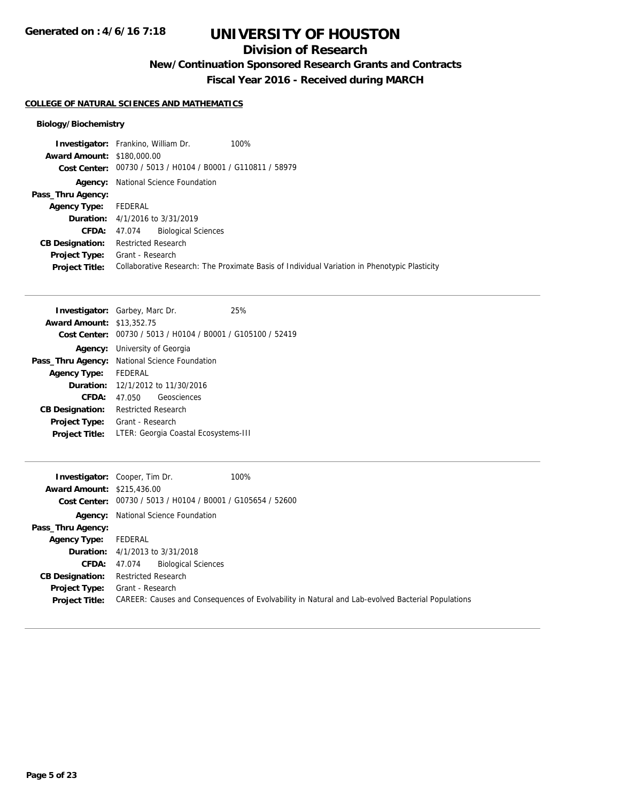# **Division of Research**

**New/Continuation Sponsored Research Grants and Contracts**

**Fiscal Year 2016 - Received during MARCH**

## **COLLEGE OF NATURAL SCIENCES AND MATHEMATICS**

## **Biology/Biochemistry**

|                                   | 100%<br><b>Investigator:</b> Frankino, William Dr.          |                                                                                              |
|-----------------------------------|-------------------------------------------------------------|----------------------------------------------------------------------------------------------|
| <b>Award Amount: \$180,000.00</b> |                                                             |                                                                                              |
|                                   | Cost Center: 00730 / 5013 / H0104 / B0001 / G110811 / 58979 |                                                                                              |
| Agency:                           | National Science Foundation                                 |                                                                                              |
| Pass_Thru Agency:                 |                                                             |                                                                                              |
| <b>Agency Type:</b>               | FEDERAL                                                     |                                                                                              |
|                                   | <b>Duration:</b> 4/1/2016 to 3/31/2019                      |                                                                                              |
| <b>CFDA:</b>                      | <b>Biological Sciences</b><br>47.074                        |                                                                                              |
| <b>CB Designation:</b>            | <b>Restricted Research</b>                                  |                                                                                              |
| Project Type:                     | Grant - Research                                            |                                                                                              |
| <b>Project Title:</b>             |                                                             | Collaborative Research: The Proximate Basis of Individual Variation in Phenotypic Plasticity |
|                                   |                                                             |                                                                                              |

|                                  | <b>Investigator:</b> Garbey, Marc Dr.                | 25%                                                         |
|----------------------------------|------------------------------------------------------|-------------------------------------------------------------|
| <b>Award Amount: \$13,352.75</b> |                                                      |                                                             |
|                                  |                                                      | Cost Center: 00730 / 5013 / H0104 / B0001 / G105100 / 52419 |
|                                  | <b>Agency:</b> University of Georgia                 |                                                             |
|                                  | <b>Pass_Thru Agency:</b> National Science Foundation |                                                             |
| <b>Agency Type:</b>              | FEDERAL                                              |                                                             |
|                                  | <b>Duration:</b> 12/1/2012 to 11/30/2016             |                                                             |
| CFDA:                            | Geosciences<br>47.050                                |                                                             |
| <b>CB Designation:</b>           | <b>Restricted Research</b>                           |                                                             |
| <b>Project Type:</b>             | Grant - Research                                     |                                                             |
| <b>Project Title:</b>            | LTER: Georgia Coastal Ecosystems-III                 |                                                             |

|                                   | 100%<br><b>Investigator:</b> Cooper, Tim Dr.                                                     |
|-----------------------------------|--------------------------------------------------------------------------------------------------|
| <b>Award Amount: \$215,436.00</b> |                                                                                                  |
|                                   | Cost Center: 00730 / 5013 / H0104 / B0001 / G105654 / 52600                                      |
|                                   | <b>Agency:</b> National Science Foundation                                                       |
| Pass_Thru Agency:                 |                                                                                                  |
| <b>Agency Type:</b>               | FEDERAL                                                                                          |
|                                   | <b>Duration:</b> $4/1/2013$ to $3/31/2018$                                                       |
| <b>CFDA:</b>                      | <b>Biological Sciences</b><br>47.074                                                             |
| <b>CB Designation:</b>            | <b>Restricted Research</b>                                                                       |
| <b>Project Type:</b>              | Grant - Research                                                                                 |
| <b>Project Title:</b>             | CAREER: Causes and Consequences of Evolvability in Natural and Lab-evolved Bacterial Populations |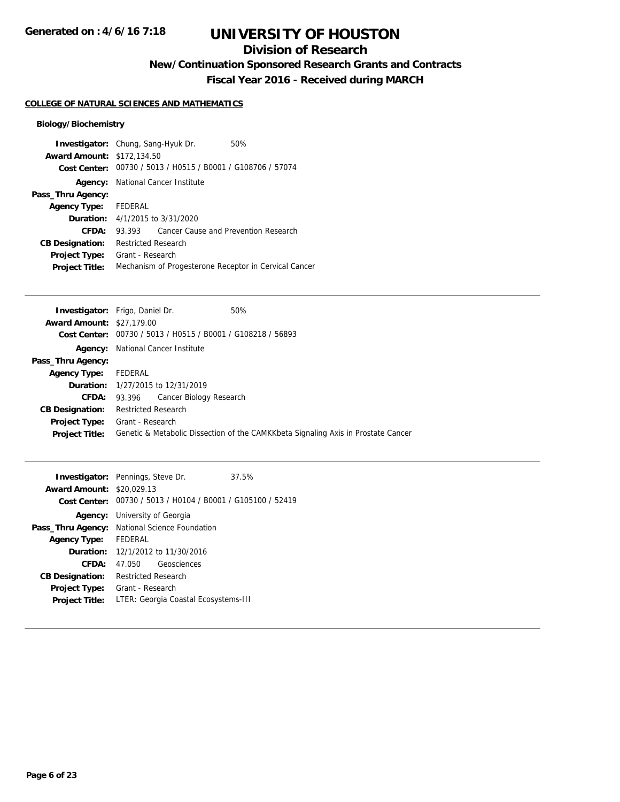# **Division of Research**

**New/Continuation Sponsored Research Grants and Contracts**

**Fiscal Year 2016 - Received during MARCH**

## **COLLEGE OF NATURAL SCIENCES AND MATHEMATICS**

## **Biology/Biochemistry**

|                                   | <b>Investigator:</b> Chung, Sang-Hyuk Dr. | 50%                                                         |
|-----------------------------------|-------------------------------------------|-------------------------------------------------------------|
| <b>Award Amount: \$172,134.50</b> |                                           |                                                             |
|                                   |                                           | Cost Center: 00730 / 5013 / H0515 / B0001 / G108706 / 57074 |
|                                   | <b>Agency:</b> National Cancer Institute  |                                                             |
| Pass_Thru Agency:                 |                                           |                                                             |
| <b>Agency Type:</b>               | FEDERAL                                   |                                                             |
|                                   | <b>Duration:</b> 4/1/2015 to 3/31/2020    |                                                             |
| CFDA:                             | 93.393                                    | Cancer Cause and Prevention Research                        |
| <b>CB Designation:</b>            | <b>Restricted Research</b>                |                                                             |
| <b>Project Type:</b>              | Grant - Research                          |                                                             |
| <b>Project Title:</b>             |                                           | Mechanism of Progesterone Receptor in Cervical Cancer       |

|                                  | <b>Investigator:</b> Frigo, Daniel Dr.   | 50%                                                                               |  |  |
|----------------------------------|------------------------------------------|-----------------------------------------------------------------------------------|--|--|
| <b>Award Amount: \$27,179.00</b> |                                          |                                                                                   |  |  |
| Cost Center:                     |                                          | 00730 / 5013 / H0515 / B0001 / G108218 / 56893                                    |  |  |
| Agency:                          | National Cancer Institute                |                                                                                   |  |  |
| Pass_Thru Agency:                |                                          |                                                                                   |  |  |
| <b>Agency Type:</b>              | FEDERAL                                  |                                                                                   |  |  |
|                                  | <b>Duration:</b> 1/27/2015 to 12/31/2019 |                                                                                   |  |  |
| CFDA:                            | Cancer Biology Research<br>93.396        |                                                                                   |  |  |
| <b>CB Designation:</b>           | <b>Restricted Research</b>               |                                                                                   |  |  |
| <b>Project Type:</b>             | Grant - Research                         |                                                                                   |  |  |
| <b>Project Title:</b>            |                                          | Genetic & Metabolic Dissection of the CAMKKbeta Signaling Axis in Prostate Cancer |  |  |
|                                  |                                          |                                                                                   |  |  |

| <b>Award Amount: \$20,029.13</b> | <b>Investigator:</b> Pennings, Steve Dr.                    | 37.5% |
|----------------------------------|-------------------------------------------------------------|-------|
|                                  | Cost Center: 00730 / 5013 / H0104 / B0001 / G105100 / 52419 |       |
|                                  | <b>Agency:</b> University of Georgia                        |       |
|                                  | Pass_Thru Agency: National Science Foundation               |       |
| <b>Agency Type:</b>              | FFDFRAI                                                     |       |
|                                  | <b>Duration:</b> $12/1/2012$ to $11/30/2016$                |       |
| CFDA:                            | Geosciences                                                 |       |
| <b>CB Designation:</b>           | <b>Restricted Research</b>                                  |       |
| <b>Project Type:</b>             | Grant - Research                                            |       |
| <b>Project Title:</b>            | LTER: Georgia Coastal Ecosystems-III                        |       |
|                                  |                                                             |       |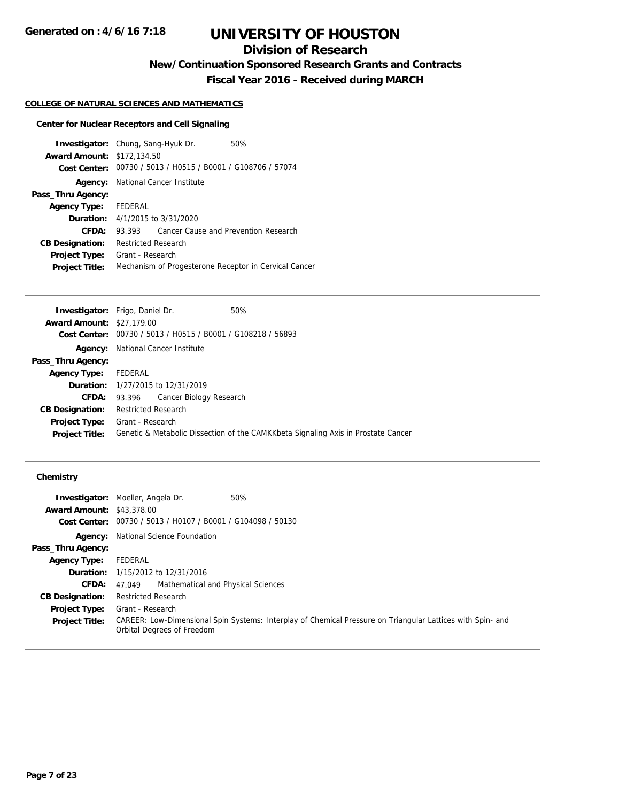# **Division of Research**

**New/Continuation Sponsored Research Grants and Contracts**

**Fiscal Year 2016 - Received during MARCH**

### **COLLEGE OF NATURAL SCIENCES AND MATHEMATICS**

## **Center for Nuclear Receptors and Cell Signaling**

| <b>Investigator:</b> Chung, Sang-Hyuk Dr.<br>50%            |
|-------------------------------------------------------------|
| <b>Award Amount: \$172,134.50</b>                           |
| Cost Center: 00730 / 5013 / H0515 / B0001 / G108706 / 57074 |
| National Cancer Institute                                   |
|                                                             |
| FEDERAL                                                     |
| <b>Duration:</b> $4/1/2015$ to $3/31/2020$                  |
| Cancer Cause and Prevention Research<br>93.393              |
| <b>Restricted Research</b>                                  |
| Grant - Research                                            |
| Mechanism of Progesterone Receptor in Cervical Cancer       |
|                                                             |

| <b>Investigator:</b> Frigo, Daniel Dr. |                     |                                                | 50%                                                                               |
|----------------------------------------|---------------------|------------------------------------------------|-----------------------------------------------------------------------------------|
| <b>Award Amount: \$27,179.00</b>       |                     |                                                |                                                                                   |
| Cost Center:                           |                     | 00730 / 5013 / H0515 / B0001 / G108218 / 56893 |                                                                                   |
|                                        |                     | <b>Agency:</b> National Cancer Institute       |                                                                                   |
| Pass_Thru Agency:                      |                     |                                                |                                                                                   |
| <b>Agency Type:</b>                    | FEDERAL             |                                                |                                                                                   |
|                                        |                     | <b>Duration:</b> 1/27/2015 to 12/31/2019       |                                                                                   |
| <b>CFDA:</b>                           | 93.396              | Cancer Biology Research                        |                                                                                   |
| <b>CB Designation:</b>                 | Restricted Research |                                                |                                                                                   |
| <b>Project Type:</b>                   | Grant - Research    |                                                |                                                                                   |
| <b>Project Title:</b>                  |                     |                                                | Genetic & Metabolic Dissection of the CAMKKbeta Signaling Axis in Prostate Cancer |
|                                        |                     |                                                |                                                                                   |

## **Chemistry**

|                                  | <b>Investigator:</b> Moeller, Angela Dr.<br>50%                                                                                          |
|----------------------------------|------------------------------------------------------------------------------------------------------------------------------------------|
| <b>Award Amount: \$43,378.00</b> |                                                                                                                                          |
|                                  | Cost Center: 00730 / 5013 / H0107 / B0001 / G104098 / 50130                                                                              |
|                                  | <b>Agency:</b> National Science Foundation                                                                                               |
| Pass_Thru Agency:                |                                                                                                                                          |
| Agency Type:                     | FEDERAL                                                                                                                                  |
|                                  | <b>Duration:</b> 1/15/2012 to 12/31/2016                                                                                                 |
| <b>CFDA:</b>                     | Mathematical and Physical Sciences<br>47.049                                                                                             |
| <b>CB Designation:</b>           | <b>Restricted Research</b>                                                                                                               |
| <b>Project Type:</b>             | Grant - Research                                                                                                                         |
| <b>Project Title:</b>            | CAREER: Low-Dimensional Spin Systems: Interplay of Chemical Pressure on Triangular Lattices with Spin- and<br>Orbital Degrees of Freedom |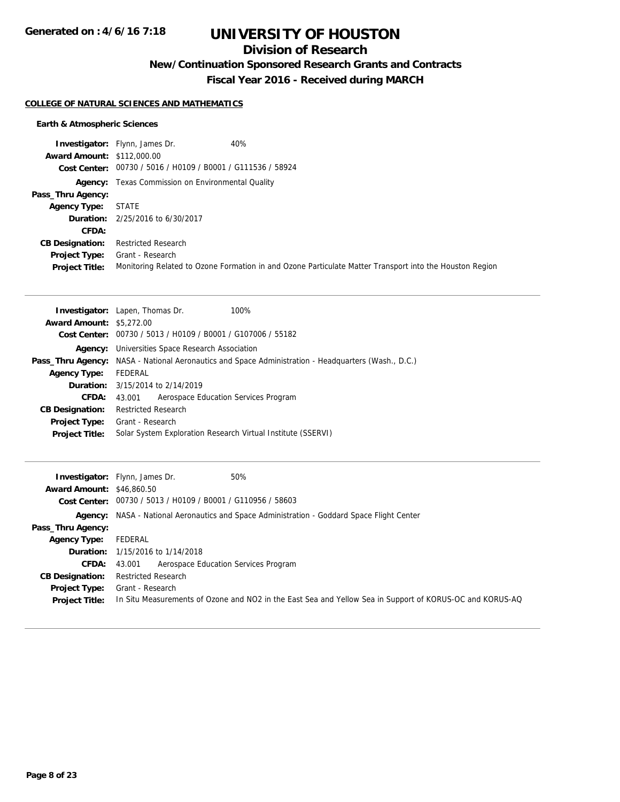# **Division of Research**

**New/Continuation Sponsored Research Grants and Contracts**

**Fiscal Year 2016 - Received during MARCH**

## **COLLEGE OF NATURAL SCIENCES AND MATHEMATICS**

## **Earth & Atmospheric Sciences**

|                                   | <b>Investigator:</b> Flynn, James Dr.<br>40%                                                            |
|-----------------------------------|---------------------------------------------------------------------------------------------------------|
| <b>Award Amount: \$112,000.00</b> |                                                                                                         |
|                                   | Cost Center: 00730 / 5016 / H0109 / B0001 / G111536 / 58924                                             |
|                                   | <b>Agency:</b> Texas Commission on Environmental Quality                                                |
| Pass_Thru Agency:                 |                                                                                                         |
| <b>Agency Type:</b>               | STATE                                                                                                   |
|                                   | <b>Duration:</b> 2/25/2016 to 6/30/2017                                                                 |
| CFDA:                             |                                                                                                         |
| <b>CB Designation:</b>            | <b>Restricted Research</b>                                                                              |
| Project Type:                     | Grant - Research                                                                                        |
| <b>Project Title:</b>             | Monitoring Related to Ozone Formation in and Ozone Particulate Matter Transport into the Houston Region |

|                                 | <b>Investigator:</b> Lapen, Thomas Dr.<br>100%                                                      |  |  |
|---------------------------------|-----------------------------------------------------------------------------------------------------|--|--|
| <b>Award Amount: \$5,272.00</b> |                                                                                                     |  |  |
|                                 | Cost Center: 00730 / 5013 / H0109 / B0001 / G107006 / 55182                                         |  |  |
|                                 | <b>Agency:</b> Universities Space Research Association                                              |  |  |
|                                 | Pass_Thru Agency: NASA - National Aeronautics and Space Administration - Headquarters (Wash., D.C.) |  |  |
| <b>Agency Type:</b>             | FEDERAL                                                                                             |  |  |
|                                 | <b>Duration:</b> 3/15/2014 to 2/14/2019                                                             |  |  |
| <b>CFDA:</b>                    | Aerospace Education Services Program<br>43.001                                                      |  |  |
| <b>CB Designation:</b>          | <b>Restricted Research</b>                                                                          |  |  |
| <b>Project Type:</b>            | Grant - Research                                                                                    |  |  |
| <b>Project Title:</b>           | Solar System Exploration Research Virtual Institute (SSERVI)                                        |  |  |

| <b>Award Amount: \$46,860.50</b> | 50%<br><b>Investigator:</b> Flynn, James Dr.                                                             |
|----------------------------------|----------------------------------------------------------------------------------------------------------|
|                                  | Cost Center: 00730 / 5013 / H0109 / B0001 / G110956 / 58603                                              |
|                                  | <b>Agency:</b> NASA - National Aeronautics and Space Administration - Goddard Space Flight Center        |
| Pass_Thru Agency:                |                                                                                                          |
| <b>Agency Type:</b>              | FEDERAL                                                                                                  |
|                                  | <b>Duration:</b> 1/15/2016 to 1/14/2018                                                                  |
|                                  | Aerospace Education Services Program<br><b>CFDA:</b> 43,001                                              |
| <b>CB Designation:</b>           | <b>Restricted Research</b>                                                                               |
| <b>Project Type:</b>             | Grant - Research                                                                                         |
| <b>Project Title:</b>            | In Situ Measurements of Ozone and NO2 in the East Sea and Yellow Sea in Support of KORUS-OC and KORUS-AQ |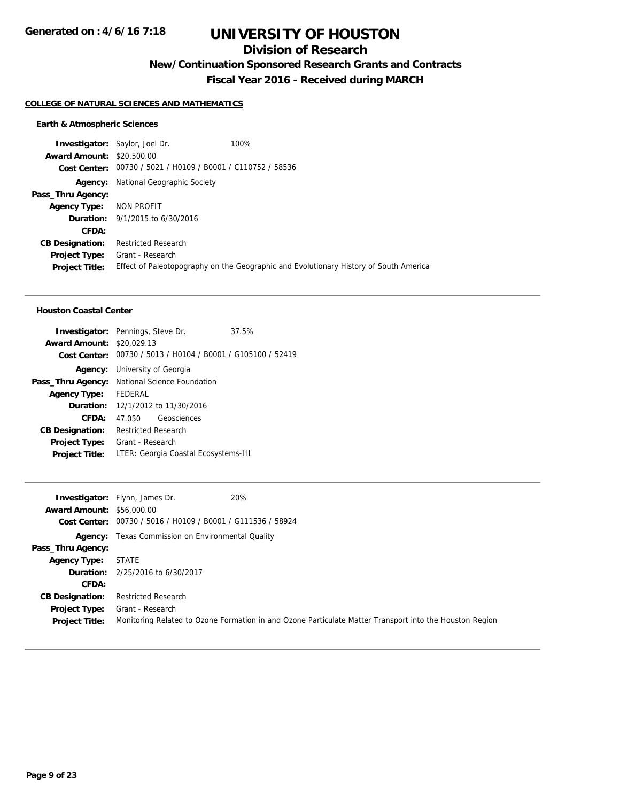## **Division of Research**

**New/Continuation Sponsored Research Grants and Contracts**

**Fiscal Year 2016 - Received during MARCH**

#### **COLLEGE OF NATURAL SCIENCES AND MATHEMATICS**

#### **Earth & Atmospheric Sciences**

**Investigator:** Saylor, Joel Dr. 100% **Award Amount:** \$20,500.00 **Cost Center:** 00730 / 5021 / H0109 / B0001 / C110752 / 58536 **Agency:** National Geographic Society **Pass\_Thru Agency: Agency Type:** NON PROFIT **Duration:** 9/1/2015 to 6/30/2016 **CFDA: CB Designation:** Restricted Research **Project Type:** Grant - Research **Project Title:** Effect of Paleotopography on the Geographic and Evolutionary History of South America

### **Houston Coastal Center**

|                                  | <b>Investigator:</b> Pennings, Steve Dr.                    | 37.5% |
|----------------------------------|-------------------------------------------------------------|-------|
| <b>Award Amount: \$20,029.13</b> |                                                             |       |
|                                  | Cost Center: 00730 / 5013 / H0104 / B0001 / G105100 / 52419 |       |
|                                  | <b>Agency:</b> University of Georgia                        |       |
|                                  | Pass_Thru Agency: National Science Foundation               |       |
| <b>Agency Type:</b>              | FEDERAL                                                     |       |
|                                  | <b>Duration:</b> 12/1/2012 to 11/30/2016                    |       |
| CFDA:                            | 47.050 Geosciences                                          |       |
| <b>CB Designation:</b>           | <b>Restricted Research</b>                                  |       |
| <b>Project Type:</b>             | Grant - Research                                            |       |
| <b>Project Title:</b>            | LTER: Georgia Coastal Ecosystems-III                        |       |

|                                  | 20%<br><b>Investigator:</b> Flynn, James Dr.                                                            |
|----------------------------------|---------------------------------------------------------------------------------------------------------|
| <b>Award Amount: \$56,000.00</b> |                                                                                                         |
|                                  | Cost Center: 00730 / 5016 / H0109 / B0001 / G111536 / 58924                                             |
|                                  | <b>Agency:</b> Texas Commission on Environmental Quality                                                |
| Pass_Thru Agency:                |                                                                                                         |
| <b>Agency Type:</b>              | <b>STATE</b>                                                                                            |
|                                  | <b>Duration:</b> 2/25/2016 to 6/30/2017                                                                 |
| CFDA:                            |                                                                                                         |
| <b>CB Designation:</b>           | <b>Restricted Research</b>                                                                              |
| Project Type:                    | Grant - Research                                                                                        |
| <b>Project Title:</b>            | Monitoring Related to Ozone Formation in and Ozone Particulate Matter Transport into the Houston Region |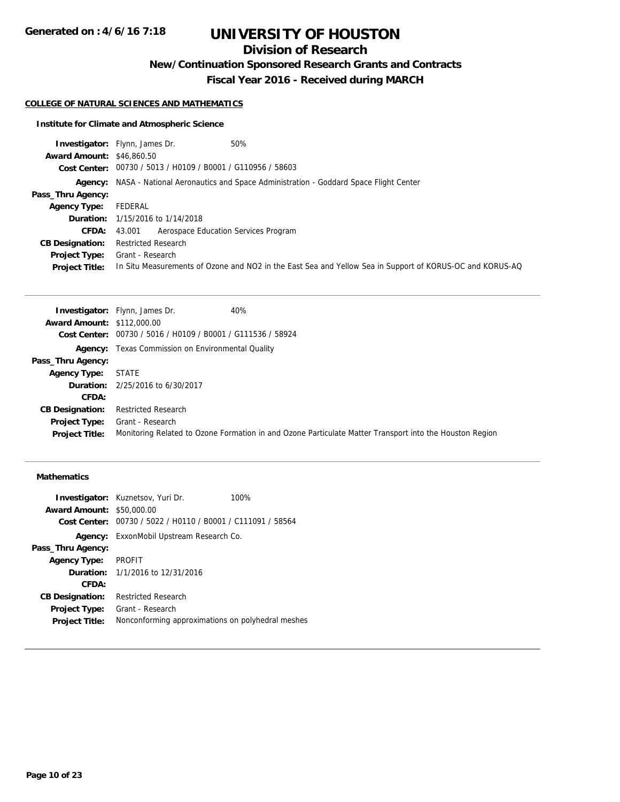# **Division of Research**

**New/Continuation Sponsored Research Grants and Contracts**

**Fiscal Year 2016 - Received during MARCH**

### **COLLEGE OF NATURAL SCIENCES AND MATHEMATICS**

## **Institute for Climate and Atmospheric Science**

|                                  | <b>Investigator:</b> Flynn, James Dr.                       | 50%                                                                                                      |
|----------------------------------|-------------------------------------------------------------|----------------------------------------------------------------------------------------------------------|
| <b>Award Amount: \$46,860.50</b> |                                                             |                                                                                                          |
|                                  | Cost Center: 00730 / 5013 / H0109 / B0001 / G110956 / 58603 |                                                                                                          |
|                                  |                                                             | Agency: NASA - National Aeronautics and Space Administration - Goddard Space Flight Center               |
| Pass_Thru Agency:                |                                                             |                                                                                                          |
| <b>Agency Type:</b>              | FEDERAL                                                     |                                                                                                          |
|                                  | <b>Duration:</b> 1/15/2016 to 1/14/2018                     |                                                                                                          |
| <b>CFDA:</b>                     | Aerospace Education Services Program<br>43.001              |                                                                                                          |
| <b>CB Designation:</b>           | <b>Restricted Research</b>                                  |                                                                                                          |
| <b>Project Type:</b>             | Grant - Research                                            |                                                                                                          |
| <b>Project Title:</b>            |                                                             | In Situ Measurements of Ozone and NO2 in the East Sea and Yellow Sea in Support of KORUS-OC and KORUS-AQ |
|                                  |                                                             |                                                                                                          |

|                                   | 40%<br><b>Investigator:</b> Flynn, James Dr.                                                            |
|-----------------------------------|---------------------------------------------------------------------------------------------------------|
| <b>Award Amount: \$112,000.00</b> |                                                                                                         |
|                                   | Cost Center: 00730 / 5016 / H0109 / B0001 / G111536 / 58924                                             |
|                                   | <b>Agency:</b> Texas Commission on Environmental Quality                                                |
| Pass_Thru Agency:                 |                                                                                                         |
| <b>Agency Type:</b>               | <b>STATE</b>                                                                                            |
|                                   | <b>Duration:</b> 2/25/2016 to 6/30/2017                                                                 |
| CFDA:                             |                                                                                                         |
| <b>CB Designation:</b>            | <b>Restricted Research</b>                                                                              |
| <b>Project Type:</b>              | Grant - Research                                                                                        |
| <b>Project Title:</b>             | Monitoring Related to Ozone Formation in and Ozone Particulate Matter Transport into the Houston Region |

## **Mathematics**

|                                  | <b>Investigator:</b> Kuznetsov, Yuri Dr.          | 100% |
|----------------------------------|---------------------------------------------------|------|
| <b>Award Amount: \$50,000.00</b> |                                                   |      |
| Cost Center:                     | 00730 / 5022 / H0110 / B0001 / C111091 / 58564    |      |
|                                  | <b>Agency:</b> ExxonMobil Upstream Research Co.   |      |
| Pass_Thru Agency:                |                                                   |      |
| <b>Agency Type:</b>              | <b>PROFIT</b>                                     |      |
|                                  | <b>Duration:</b> $1/1/2016$ to $12/31/2016$       |      |
| CFDA:                            |                                                   |      |
| <b>CB Designation:</b>           | <b>Restricted Research</b>                        |      |
| Project Type:                    | Grant - Research                                  |      |
| <b>Project Title:</b>            | Nonconforming approximations on polyhedral meshes |      |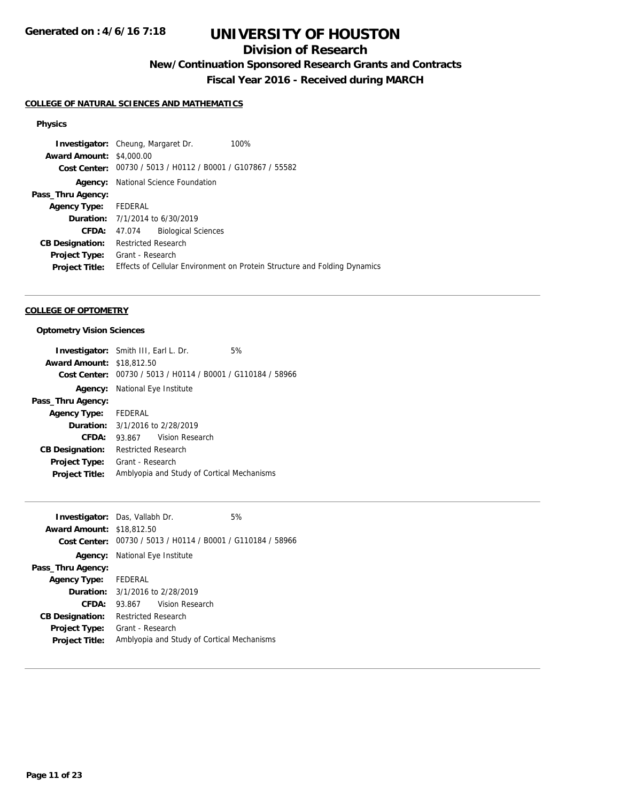# **Division of Research**

**New/Continuation Sponsored Research Grants and Contracts**

**Fiscal Year 2016 - Received during MARCH**

## **COLLEGE OF NATURAL SCIENCES AND MATHEMATICS**

### **Physics**

|                                 | <b>Investigator:</b> Cheung, Margaret Dr.                   | 100%                                                                      |
|---------------------------------|-------------------------------------------------------------|---------------------------------------------------------------------------|
| <b>Award Amount: \$4,000.00</b> |                                                             |                                                                           |
|                                 | Cost Center: 00730 / 5013 / H0112 / B0001 / G107867 / 55582 |                                                                           |
| Agency:                         | National Science Foundation                                 |                                                                           |
| Pass_Thru Agency:               |                                                             |                                                                           |
| <b>Agency Type:</b>             | FEDERAL                                                     |                                                                           |
|                                 | <b>Duration:</b> $7/1/2014$ to $6/30/2019$                  |                                                                           |
| <b>CFDA:</b>                    | <b>Biological Sciences</b><br>47.074                        |                                                                           |
| <b>CB Designation:</b>          | <b>Restricted Research</b>                                  |                                                                           |
| <b>Project Type:</b>            | Grant - Research                                            |                                                                           |
| <b>Project Title:</b>           |                                                             | Effects of Cellular Environment on Protein Structure and Folding Dynamics |
|                                 |                                                             |                                                                           |

### **COLLEGE OF OPTOMETRY**

### **Optometry Vision Sciences**

| <b>Investigator:</b> Smith III, Earl L. Dr. |                                            |                                            | 5%                                                          |
|---------------------------------------------|--------------------------------------------|--------------------------------------------|-------------------------------------------------------------|
| <b>Award Amount: \$18,812.50</b>            |                                            |                                            |                                                             |
|                                             |                                            |                                            | Cost Center: 00730 / 5013 / H0114 / B0001 / G110184 / 58966 |
|                                             | <b>Agency:</b> National Eye Institute      |                                            |                                                             |
| Pass_Thru Agency:                           |                                            |                                            |                                                             |
| Agency Type: FEDERAL                        |                                            |                                            |                                                             |
|                                             | <b>Duration:</b> $3/1/2016$ to $2/28/2019$ |                                            |                                                             |
| CFDA:                                       | 93.867 Vision Research                     |                                            |                                                             |
| <b>CB Designation:</b>                      | <b>Restricted Research</b>                 |                                            |                                                             |
| <b>Project Type:</b>                        | Grant - Research                           |                                            |                                                             |
| <b>Project Title:</b>                       |                                            | Amblyopia and Study of Cortical Mechanisms |                                                             |

| <b>Award Amount: \$18,812.50</b><br>00730 / 5013 / H0114 / B0001 / G110184 / 58966<br>Cost Center:<br><b>Agency:</b> National Eye Institute<br>Pass_Thru Agency:<br>Agency Type: FEDERAL<br><b>Duration:</b> $3/1/2016$ to $2/28/2019$<br>CFDA:<br>93.867 Vision Research<br><b>Restricted Research</b><br><b>CB Designation:</b><br>Grant - Research<br><b>Project Type:</b><br>Amblyopia and Study of Cortical Mechanisms<br><b>Project Title:</b> | <b>Investigator:</b> Das, Vallabh Dr. |  | 5% |
|------------------------------------------------------------------------------------------------------------------------------------------------------------------------------------------------------------------------------------------------------------------------------------------------------------------------------------------------------------------------------------------------------------------------------------------------------|---------------------------------------|--|----|
|                                                                                                                                                                                                                                                                                                                                                                                                                                                      |                                       |  |    |
|                                                                                                                                                                                                                                                                                                                                                                                                                                                      |                                       |  |    |
|                                                                                                                                                                                                                                                                                                                                                                                                                                                      |                                       |  |    |
|                                                                                                                                                                                                                                                                                                                                                                                                                                                      |                                       |  |    |
|                                                                                                                                                                                                                                                                                                                                                                                                                                                      |                                       |  |    |
|                                                                                                                                                                                                                                                                                                                                                                                                                                                      |                                       |  |    |
|                                                                                                                                                                                                                                                                                                                                                                                                                                                      |                                       |  |    |
|                                                                                                                                                                                                                                                                                                                                                                                                                                                      |                                       |  |    |
|                                                                                                                                                                                                                                                                                                                                                                                                                                                      |                                       |  |    |
|                                                                                                                                                                                                                                                                                                                                                                                                                                                      |                                       |  |    |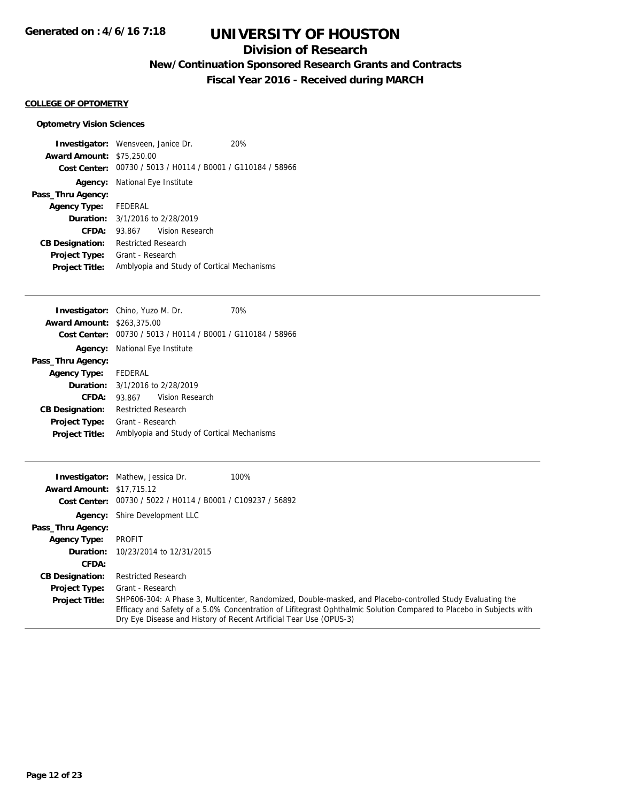# **Division of Research**

**New/Continuation Sponsored Research Grants and Contracts**

**Fiscal Year 2016 - Received during MARCH**

## **COLLEGE OF OPTOMETRY**

## **Optometry Vision Sciences**

| <b>Investigator:</b> Wensveen, Janice Dr. |                                       |                                                             | 20% |
|-------------------------------------------|---------------------------------------|-------------------------------------------------------------|-----|
| <b>Award Amount: \$75,250.00</b>          |                                       |                                                             |     |
|                                           |                                       | Cost Center: 00730 / 5013 / H0114 / B0001 / G110184 / 58966 |     |
|                                           | <b>Agency:</b> National Eye Institute |                                                             |     |
| Pass_Thru Agency:                         |                                       |                                                             |     |
| Agency Type: FEDERAL                      |                                       |                                                             |     |
| <b>Duration:</b> 3/1/2016 to 2/28/2019    |                                       |                                                             |     |
| CFDA:                                     |                                       | 93.867 Vision Research                                      |     |
| <b>CB Designation:</b>                    | <b>Restricted Research</b>            |                                                             |     |
| <b>Project Type:</b>                      | Grant - Research                      |                                                             |     |
| <b>Project Title:</b>                     |                                       | Amblyopia and Study of Cortical Mechanisms                  |     |

| <b>Investigator:</b> Chino, Yuzo M. Dr.    |                            |                                                | 70% |
|--------------------------------------------|----------------------------|------------------------------------------------|-----|
| <b>Award Amount: \$263,375.00</b>          |                            |                                                |     |
| Cost Center:                               |                            | 00730 / 5013 / H0114 / B0001 / G110184 / 58966 |     |
| Agency:                                    | National Eye Institute     |                                                |     |
| Pass_Thru Agency:                          |                            |                                                |     |
| <b>Agency Type:</b>                        | FEDERAL                    |                                                |     |
| <b>Duration:</b> $3/1/2016$ to $2/28/2019$ |                            |                                                |     |
| CFDA:                                      | 93.867                     | Vision Research                                |     |
| <b>CB Designation:</b>                     | <b>Restricted Research</b> |                                                |     |
| <b>Project Type:</b>                       | Grant - Research           |                                                |     |
| <b>Project Title:</b>                      |                            | Amblyopia and Study of Cortical Mechanisms     |     |
|                                            |                            |                                                |     |

|                                  | <b>Investigator:</b> Mathew, Jessica Dr.                    | 100%                                                                                                                                                                                                                                                                                                    |
|----------------------------------|-------------------------------------------------------------|---------------------------------------------------------------------------------------------------------------------------------------------------------------------------------------------------------------------------------------------------------------------------------------------------------|
| <b>Award Amount: \$17,715.12</b> |                                                             |                                                                                                                                                                                                                                                                                                         |
|                                  | Cost Center: 00730 / 5022 / H0114 / B0001 / C109237 / 56892 |                                                                                                                                                                                                                                                                                                         |
|                                  | <b>Agency:</b> Shire Development LLC                        |                                                                                                                                                                                                                                                                                                         |
| Pass_Thru Agency:                |                                                             |                                                                                                                                                                                                                                                                                                         |
| <b>Agency Type:</b>              | PROFIT                                                      |                                                                                                                                                                                                                                                                                                         |
| Duration:                        | 10/23/2014 to 12/31/2015                                    |                                                                                                                                                                                                                                                                                                         |
| CFDA:                            |                                                             |                                                                                                                                                                                                                                                                                                         |
| <b>CB Designation:</b>           | <b>Restricted Research</b>                                  |                                                                                                                                                                                                                                                                                                         |
| <b>Project Type:</b>             | Grant - Research                                            |                                                                                                                                                                                                                                                                                                         |
| <b>Project Title:</b>            |                                                             | SHP606-304: A Phase 3, Multicenter, Randomized, Double-masked, and Placebo-controlled Study Evaluating the<br>Efficacy and Safety of a 5.0% Concentration of Lifitegrast Ophthalmic Solution Compared to Placebo in Subjects with<br>Dry Eye Disease and History of Recent Artificial Tear Use (OPUS-3) |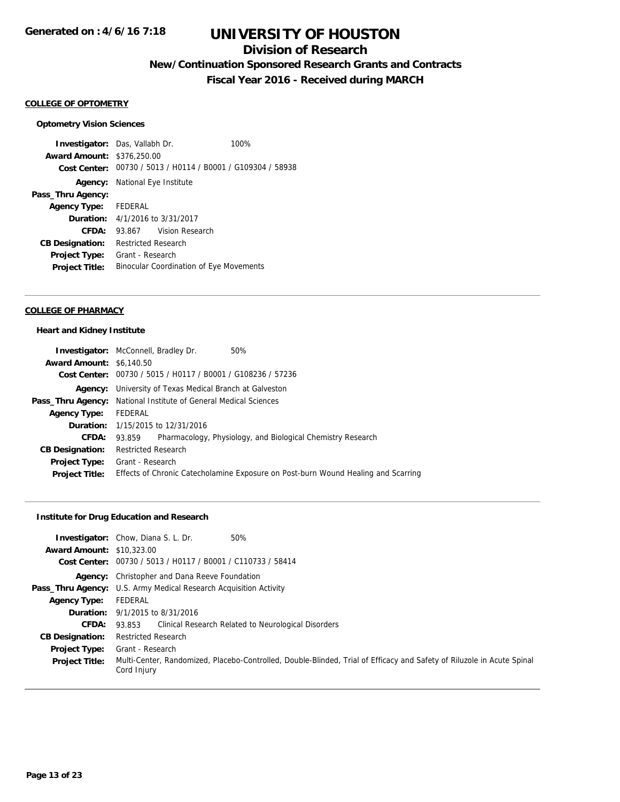## **Division of Research**

**New/Continuation Sponsored Research Grants and Contracts**

**Fiscal Year 2016 - Received during MARCH**

#### **COLLEGE OF OPTOMETRY**

#### **Optometry Vision Sciences**

**Investigator:** Das, Vallabh Dr. 100% **Award Amount:** \$376,250.00 **Cost Center:** 00730 / 5013 / H0114 / B0001 / G109304 / 58938 **Agency:** National Eye Institute **Pass\_Thru Agency: Agency Type:** FEDERAL **Duration:** 4/1/2016 to 3/31/2017 **CFDA:** 93.867 Vision Research **CB Designation:** Restricted Research **Project Type:** Grant - Research **Project Title:** Binocular Coordination of Eye Movements

#### **COLLEGE OF PHARMACY**

#### **Heart and Kidney Institute**

|                                 | <b>Investigator:</b> McConnell, Bradley Dr.<br>50%                                |
|---------------------------------|-----------------------------------------------------------------------------------|
| <b>Award Amount: \$6,140.50</b> |                                                                                   |
|                                 | Cost Center: 00730 / 5015 / H0117 / B0001 / G108236 / 57236                       |
|                                 | <b>Agency:</b> University of Texas Medical Branch at Galveston                    |
|                                 | <b>Pass_Thru Agency:</b> National Institute of General Medical Sciences           |
| <b>Agency Type:</b>             | FEDERAL                                                                           |
|                                 | <b>Duration:</b> 1/15/2015 to 12/31/2016                                          |
| CFDA: 93.859                    | Pharmacology, Physiology, and Biological Chemistry Research                       |
| <b>CB Designation:</b>          | <b>Restricted Research</b>                                                        |
|                                 | <b>Project Type:</b> Grant - Research                                             |
| <b>Project Title:</b>           | Effects of Chronic Catecholamine Exposure on Post-burn Wound Healing and Scarring |

## **Institute for Drug Education and Research**

|                                  | 50%<br><b>Investigator:</b> Chow, Diana S. L. Dr.                                                                                     |
|----------------------------------|---------------------------------------------------------------------------------------------------------------------------------------|
| <b>Award Amount: \$10,323,00</b> |                                                                                                                                       |
|                                  | Cost Center: 00730 / 5013 / H0117 / B0001 / C110733 / 58414                                                                           |
|                                  | <b>Agency:</b> Christopher and Dana Reeve Foundation                                                                                  |
|                                  | <b>Pass_Thru Agency:</b> U.S. Army Medical Research Acquisition Activity                                                              |
| <b>Agency Type:</b>              | FEDERAL                                                                                                                               |
|                                  | <b>Duration:</b> 9/1/2015 to 8/31/2016                                                                                                |
| CFDA:                            | 93.853 Clinical Research Related to Neurological Disorders                                                                            |
| <b>CB Designation:</b>           | <b>Restricted Research</b>                                                                                                            |
| <b>Project Type:</b>             | Grant - Research                                                                                                                      |
| <b>Project Title:</b>            | Multi-Center, Randomized, Placebo-Controlled, Double-Blinded, Trial of Efficacy and Safety of Riluzole in Acute Spinal<br>Cord Injury |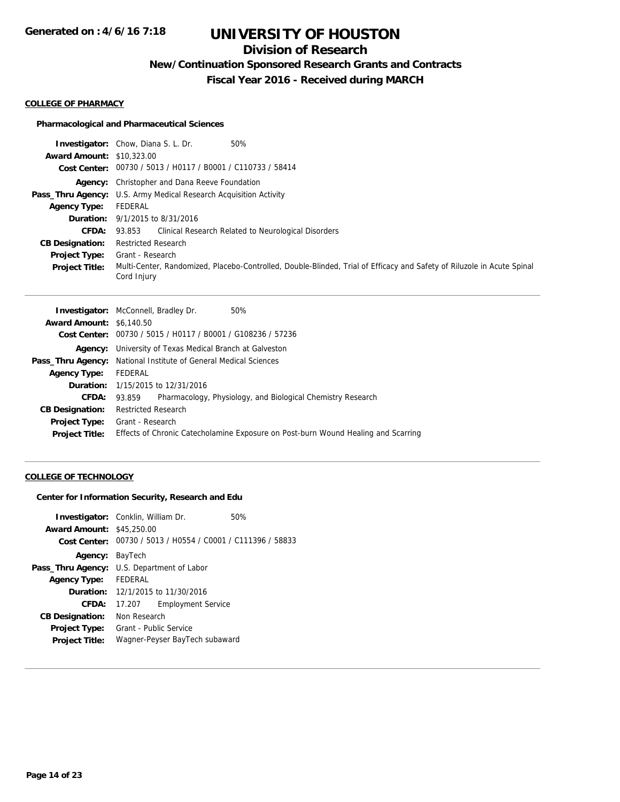# **Division of Research**

**New/Continuation Sponsored Research Grants and Contracts**

**Fiscal Year 2016 - Received during MARCH**

#### **COLLEGE OF PHARMACY**

### **Pharmacological and Pharmaceutical Sciences**

|                                  | 50%<br><b>Investigator:</b> Chow, Diana S. L. Dr.                                                                                     |
|----------------------------------|---------------------------------------------------------------------------------------------------------------------------------------|
| <b>Award Amount: \$10,323,00</b> |                                                                                                                                       |
|                                  | Cost Center: 00730 / 5013 / H0117 / B0001 / C110733 / 58414                                                                           |
|                                  | <b>Agency:</b> Christopher and Dana Reeve Foundation                                                                                  |
|                                  | Pass_Thru Agency: U.S. Army Medical Research Acquisition Activity                                                                     |
| Agency Type:                     | FEDERAL                                                                                                                               |
|                                  | <b>Duration:</b> 9/1/2015 to 8/31/2016                                                                                                |
| <b>CFDA:</b>                     | Clinical Research Related to Neurological Disorders<br>93.853                                                                         |
| <b>CB Designation:</b>           | <b>Restricted Research</b>                                                                                                            |
| <b>Project Type:</b>             | Grant - Research                                                                                                                      |
| <b>Project Title:</b>            | Multi-Center, Randomized, Placebo-Controlled, Double-Blinded, Trial of Efficacy and Safety of Riluzole in Acute Spinal<br>Cord Injury |

| <b>Award Amount: \$6,140.50</b><br>Cost Center: 00730 / 5015 / H0117 / B0001 / G108236 / 57236<br><b>Agency:</b> University of Texas Medical Branch at Galveston<br><b>Pass_Thru Agency:</b> National Institute of General Medical Sciences<br>FEDERAL<br><b>Agency Type:</b><br><b>Duration:</b> 1/15/2015 to 12/31/2016<br>Pharmacology, Physiology, and Biological Chemistry Research<br>CFDA: 93.859<br><b>CB Designation:</b><br><b>Restricted Research</b><br><b>Project Type:</b> Grant - Research<br>Effects of Chronic Catecholamine Exposure on Post-burn Wound Healing and Scarring<br><b>Project Title:</b> | <b>Investigator:</b> McConnell, Bradley Dr.<br>50% |
|-------------------------------------------------------------------------------------------------------------------------------------------------------------------------------------------------------------------------------------------------------------------------------------------------------------------------------------------------------------------------------------------------------------------------------------------------------------------------------------------------------------------------------------------------------------------------------------------------------------------------|----------------------------------------------------|
|                                                                                                                                                                                                                                                                                                                                                                                                                                                                                                                                                                                                                         |                                                    |
|                                                                                                                                                                                                                                                                                                                                                                                                                                                                                                                                                                                                                         |                                                    |
|                                                                                                                                                                                                                                                                                                                                                                                                                                                                                                                                                                                                                         |                                                    |
|                                                                                                                                                                                                                                                                                                                                                                                                                                                                                                                                                                                                                         |                                                    |
|                                                                                                                                                                                                                                                                                                                                                                                                                                                                                                                                                                                                                         |                                                    |
|                                                                                                                                                                                                                                                                                                                                                                                                                                                                                                                                                                                                                         |                                                    |
|                                                                                                                                                                                                                                                                                                                                                                                                                                                                                                                                                                                                                         |                                                    |
|                                                                                                                                                                                                                                                                                                                                                                                                                                                                                                                                                                                                                         |                                                    |
|                                                                                                                                                                                                                                                                                                                                                                                                                                                                                                                                                                                                                         |                                                    |
|                                                                                                                                                                                                                                                                                                                                                                                                                                                                                                                                                                                                                         |                                                    |

## **COLLEGE OF TECHNOLOGY**

### **Center for Information Security, Research and Edu**

| <b>Investigator:</b> Conklin, William Dr.<br><b>Award Amount: \$45,250.00</b> |                        | Cost Center: 00730 / 5013 / H0554 / C0001 / C111396 / 58833 | 50% |
|-------------------------------------------------------------------------------|------------------------|-------------------------------------------------------------|-----|
| Agency: BayTech                                                               |                        |                                                             |     |
| Pass_Thru Agency: U.S. Department of Labor                                    |                        |                                                             |     |
| <b>Agency Type:</b>                                                           | FEDERAL                |                                                             |     |
|                                                                               |                        | <b>Duration:</b> 12/1/2015 to 11/30/2016                    |     |
| <b>CFDA:</b>                                                                  | 17.207                 | <b>Employment Service</b>                                   |     |
| <b>CB Designation:</b>                                                        | Non Research           |                                                             |     |
| <b>Project Type:</b>                                                          | Grant - Public Service |                                                             |     |
| <b>Project Title:</b>                                                         |                        | Wagner-Peyser BayTech subaward                              |     |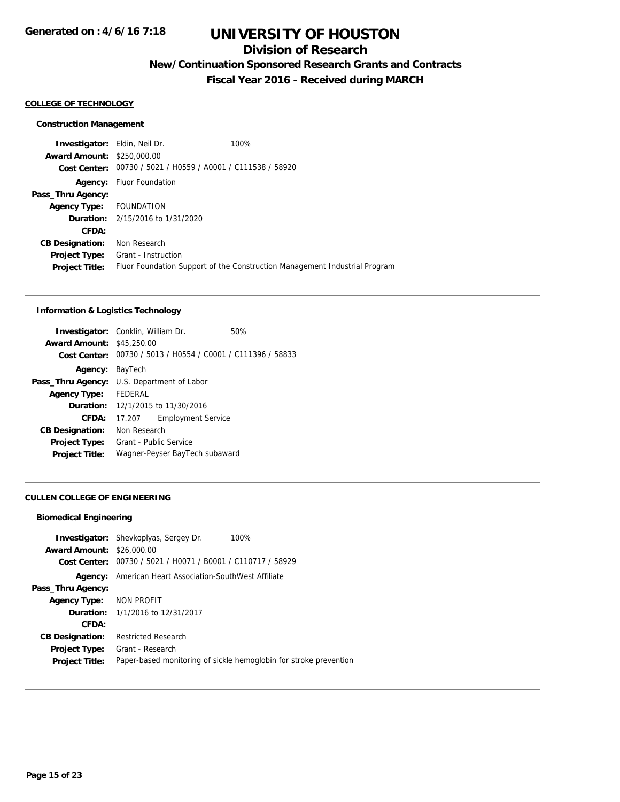# **Division of Research**

**New/Continuation Sponsored Research Grants and Contracts**

**Fiscal Year 2016 - Received during MARCH**

#### **COLLEGE OF TECHNOLOGY**

#### **Construction Management**

**Investigator:** Eldin, Neil Dr. 100% **Award Amount:** \$250,000.00 **Cost Center:** 00730 / 5021 / H0559 / A0001 / C111538 / 58920 **Agency:** Fluor Foundation **Pass\_Thru Agency: Agency Type:** FOUNDATION **Duration:** 2/15/2016 to 1/31/2020 **CFDA: CB Designation:** Non Research **Project Type:** Grant - Instruction **Project Title:** Fluor Foundation Support of the Construction Management Industrial Program

### **Information & Logistics Technology**

|                                  | <b>Investigator:</b> Conklin, William Dr.                   | 50% |
|----------------------------------|-------------------------------------------------------------|-----|
| <b>Award Amount: \$45,250.00</b> |                                                             |     |
|                                  | Cost Center: 00730 / 5013 / H0554 / C0001 / C111396 / 58833 |     |
| <b>Agency: BayTech</b>           |                                                             |     |
|                                  | <b>Pass_Thru Agency:</b> U.S. Department of Labor           |     |
| <b>Agency Type:</b>              | <b>FFDFRAL</b>                                              |     |
|                                  | <b>Duration:</b> 12/1/2015 to 11/30/2016                    |     |
| CFDA:                            | <b>Employment Service</b><br>17.207                         |     |
| <b>CB Designation:</b>           | Non Research                                                |     |
| <b>Project Type:</b>             | Grant - Public Service                                      |     |
| <b>Project Title:</b>            | Wagner-Peyser BayTech subaward                              |     |
|                                  |                                                             |     |

### **CULLEN COLLEGE OF ENGINEERING**

#### **Biomedical Engineering**

|                                  | <b>Investigator:</b> Shevkoplyas, Sergey Dr.<br>100%              |
|----------------------------------|-------------------------------------------------------------------|
| <b>Award Amount: \$26,000.00</b> |                                                                   |
| Cost Center:                     | 00730 / 5021 / H0071 / B0001 / C110717 / 58929                    |
|                                  | <b>Agency:</b> American Heart Association-SouthWest Affiliate     |
| Pass_Thru Agency:                |                                                                   |
| Agency Type: NON PROFIT          |                                                                   |
|                                  | <b>Duration:</b> 1/1/2016 to 12/31/2017                           |
| CFDA:                            |                                                                   |
| <b>CB Designation:</b>           | <b>Restricted Research</b>                                        |
| <b>Project Type:</b>             | Grant - Research                                                  |
| <b>Project Title:</b>            | Paper-based monitoring of sickle hemoglobin for stroke prevention |
|                                  |                                                                   |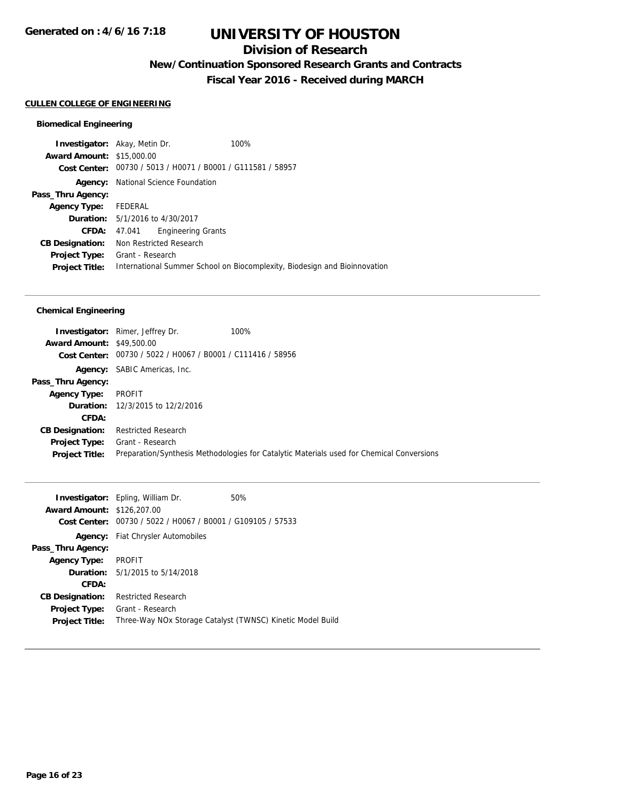## **Division of Research**

**New/Continuation Sponsored Research Grants and Contracts**

**Fiscal Year 2016 - Received during MARCH**

### **CULLEN COLLEGE OF ENGINEERING**

#### **Biomedical Engineering**

**Investigator:** Akay, Metin Dr. 100% **Award Amount:** \$15,000.00 **Cost Center:** 00730 / 5013 / H0071 / B0001 / G111581 / 58957 **Agency:** National Science Foundation **Pass\_Thru Agency: Agency Type:** FEDERAL **Duration:** 5/1/2016 to 4/30/2017 **CFDA:** 47.041 Engineering Grants **CB Designation:** Non Restricted Research **Project Type:** Grant - Research **Project Title:** International Summer School on Biocomplexity, Biodesign and Bioinnovation

### **Chemical Engineering**

|                                  | <b>Investigator:</b> Rimer, Jeffrey Dr.                     | 100%                                                                                      |
|----------------------------------|-------------------------------------------------------------|-------------------------------------------------------------------------------------------|
| <b>Award Amount: \$49,500.00</b> |                                                             |                                                                                           |
|                                  | Cost Center: 00730 / 5022 / H0067 / B0001 / C111416 / 58956 |                                                                                           |
|                                  | <b>Agency:</b> SABIC Americas, Inc.                         |                                                                                           |
| Pass_Thru Agency:                |                                                             |                                                                                           |
| <b>Agency Type:</b>              | PROFIT                                                      |                                                                                           |
|                                  | <b>Duration:</b> 12/3/2015 to 12/2/2016                     |                                                                                           |
| CFDA:                            |                                                             |                                                                                           |
| <b>CB Designation:</b>           | Restricted Research                                         |                                                                                           |
| <b>Project Type:</b>             | Grant - Research                                            |                                                                                           |
| <b>Project Title:</b>            |                                                             | Preparation/Synthesis Methodologies for Catalytic Materials used for Chemical Conversions |
|                                  |                                                             |                                                                                           |

|                                   | <b>Investigator:</b> Epling, William Dr.                   | 50% |
|-----------------------------------|------------------------------------------------------------|-----|
| <b>Award Amount: \$126,207.00</b> |                                                            |     |
| Cost Center:                      | 00730 / 5022 / H0067 / B0001 / G109105 / 57533             |     |
|                                   | <b>Agency:</b> Fiat Chrysler Automobiles                   |     |
| Pass_Thru Agency:                 |                                                            |     |
| Agency Type:                      | PROFIT                                                     |     |
|                                   | <b>Duration:</b> 5/1/2015 to 5/14/2018                     |     |
| CFDA:                             |                                                            |     |
| <b>CB Designation:</b>            | <b>Restricted Research</b>                                 |     |
| Project Type:                     | Grant - Research                                           |     |
| <b>Project Title:</b>             | Three-Way NOx Storage Catalyst (TWNSC) Kinetic Model Build |     |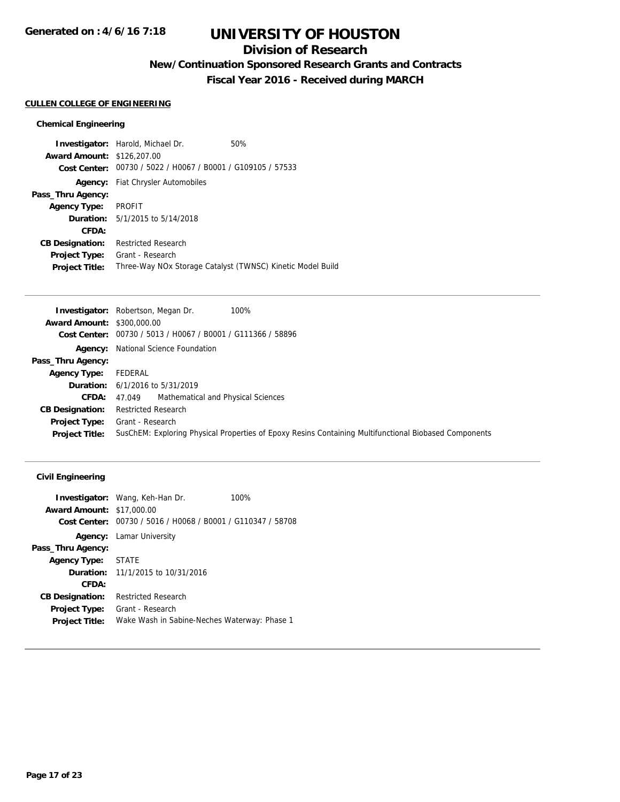# **Division of Research**

**New/Continuation Sponsored Research Grants and Contracts**

**Fiscal Year 2016 - Received during MARCH**

### **CULLEN COLLEGE OF ENGINEERING**

## **Chemical Engineering**

|                                   | <b>Investigator:</b> Harold, Michael Dr.                    | 50% |
|-----------------------------------|-------------------------------------------------------------|-----|
| <b>Award Amount: \$126,207.00</b> |                                                             |     |
|                                   | Cost Center: 00730 / 5022 / H0067 / B0001 / G109105 / 57533 |     |
|                                   | <b>Agency:</b> Fiat Chrysler Automobiles                    |     |
| Pass_Thru Agency:                 |                                                             |     |
| <b>Agency Type:</b>               | PROFIT                                                      |     |
|                                   | <b>Duration:</b> $5/1/2015$ to $5/14/2018$                  |     |
| CFDA:                             |                                                             |     |
| <b>CB Designation:</b>            | <b>Restricted Research</b>                                  |     |
| <b>Project Type:</b>              | Grant - Research                                            |     |
| <b>Project Title:</b>             | Three-Way NOx Storage Catalyst (TWNSC) Kinetic Model Build  |     |

|                                   | 100%<br><b>Investigator:</b> Robertson, Megan Dr.                                                     |
|-----------------------------------|-------------------------------------------------------------------------------------------------------|
| <b>Award Amount: \$300,000.00</b> |                                                                                                       |
|                                   | Cost Center: 00730 / 5013 / H0067 / B0001 / G111366 / 58896                                           |
|                                   | <b>Agency:</b> National Science Foundation                                                            |
| Pass_Thru Agency:                 |                                                                                                       |
| <b>Agency Type:</b>               | FEDERAL                                                                                               |
|                                   | <b>Duration:</b> 6/1/2016 to 5/31/2019                                                                |
| <b>CFDA:</b>                      | 47.049 Mathematical and Physical Sciences                                                             |
| <b>CB Designation:</b>            | <b>Restricted Research</b>                                                                            |
| Project Type:                     | Grant - Research                                                                                      |
| <b>Project Title:</b>             | SusChEM: Exploring Physical Properties of Epoxy Resins Containing Multifunctional Biobased Components |

## **Civil Engineering**

| <b>Award Amount: \$17,000.00</b> | <b>Investigator:</b> Wang, Keh-Han Dr.<br>Cost Center: 00730 / 5016 / H0068 / B0001 / G110347 / 58708 | 100% |
|----------------------------------|-------------------------------------------------------------------------------------------------------|------|
| Agency:                          | Lamar University                                                                                      |      |
| Pass_Thru Agency:                |                                                                                                       |      |
| <b>Agency Type:</b>              | STATE                                                                                                 |      |
|                                  | <b>Duration:</b> 11/1/2015 to 10/31/2016                                                              |      |
| CFDA:                            |                                                                                                       |      |
| <b>CB Designation:</b>           | <b>Restricted Research</b>                                                                            |      |
| <b>Project Type:</b>             | Grant - Research                                                                                      |      |
| <b>Project Title:</b>            | Wake Wash in Sabine-Neches Waterway: Phase 1                                                          |      |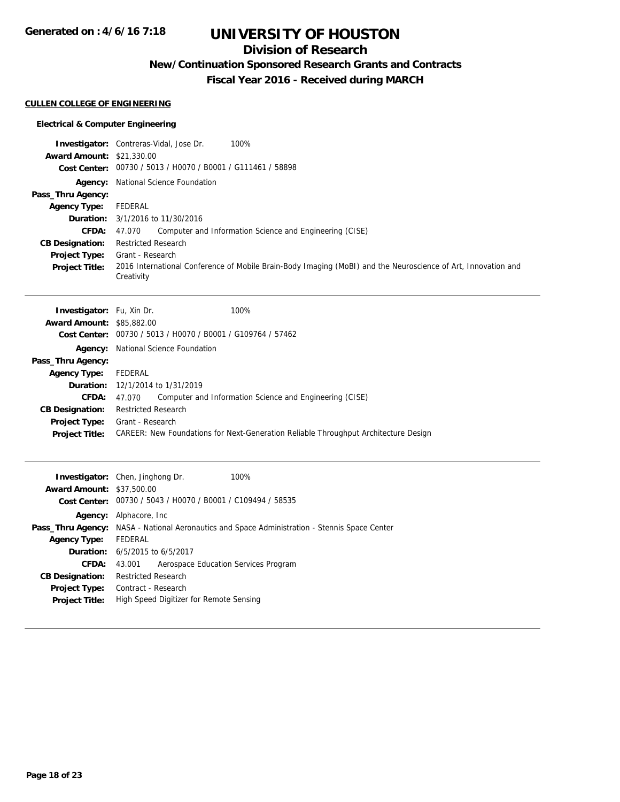**Generated on : 4/6/16 7:18**

# **UNIVERSITY OF HOUSTON**

# **Division of Research**

**New/Continuation Sponsored Research Grants and Contracts**

**Fiscal Year 2016 - Received during MARCH**

### **CULLEN COLLEGE OF ENGINEERING**

## **Electrical & Computer Engineering**

|                                  | 100%<br><b>Investigator:</b> Contreras-Vidal, Jose Dr.                                                                      |
|----------------------------------|-----------------------------------------------------------------------------------------------------------------------------|
| <b>Award Amount: \$21,330.00</b> | Cost Center: 00730 / 5013 / H0070 / B0001 / G111461 / 58898                                                                 |
|                                  | <b>Agency:</b> National Science Foundation                                                                                  |
| Pass_Thru Agency:                |                                                                                                                             |
| <b>Agency Type:</b>              | <b>FEDERAL</b>                                                                                                              |
| Duration:                        | 3/1/2016 to 11/30/2016                                                                                                      |
| CFDA:                            | 47.070<br>Computer and Information Science and Engineering (CISE)                                                           |
| <b>CB Designation:</b>           | <b>Restricted Research</b>                                                                                                  |
| <b>Project Type:</b>             | Grant - Research                                                                                                            |
| <b>Project Title:</b>            | 2016 International Conference of Mobile Brain-Body Imaging (MoBI) and the Neuroscience of Art, Innovation and<br>Creativity |
|                                  |                                                                                                                             |
| Investigator: Fu, Xin Dr.        | 100%                                                                                                                        |
| <b>Award Amount: \$85,882.00</b> |                                                                                                                             |
|                                  | Cost Center: 00730 / 5013 / H0070 / B0001 / G109764 / 57462                                                                 |
|                                  | Agency: National Science Foundation                                                                                         |
| Pass_Thru Agency:                |                                                                                                                             |
| <b>Agency Type:</b>              | <b>FEDERAL</b>                                                                                                              |
| Duration:                        | 12/1/2014 to 1/31/2019                                                                                                      |
| CFDA:                            | 47.070<br>Computer and Information Science and Engineering (CISE)                                                           |
| <b>CB Designation:</b>           | <b>Restricted Research</b>                                                                                                  |
| Project Type:                    | Grant - Research                                                                                                            |
| <b>Project Title:</b>            | CAREER: New Foundations for Next-Generation Reliable Throughput Architecture Design                                         |
|                                  |                                                                                                                             |
|                                  | Investigator: Chen, Jinghong Dr.<br>100%                                                                                    |
| <b>Award Amount: \$37,500.00</b> |                                                                                                                             |
|                                  | Cost Center: 00730 / 5043 / H0070 / B0001 / C109494 / 58535                                                                 |
|                                  | Agency: Alphacore, Inc                                                                                                      |
|                                  | Pass_Thru Agency: NASA - National Aeronautics and Space Administration - Stennis Space Center                               |
| <b>Agency Type:</b>              | <b>FEDERAL</b>                                                                                                              |
| Duration:                        | 6/5/2015 to 6/5/2017                                                                                                        |
| <b>CFDA:</b>                     | 43.001<br>Aerospace Education Services Program                                                                              |
| <b>CB Designation:</b>           | <b>Restricted Research</b>                                                                                                  |
| <b>Project Type:</b>             | Contract - Research                                                                                                         |
| Project Title:                   | High Speed Digitizer for Remote Sensing                                                                                     |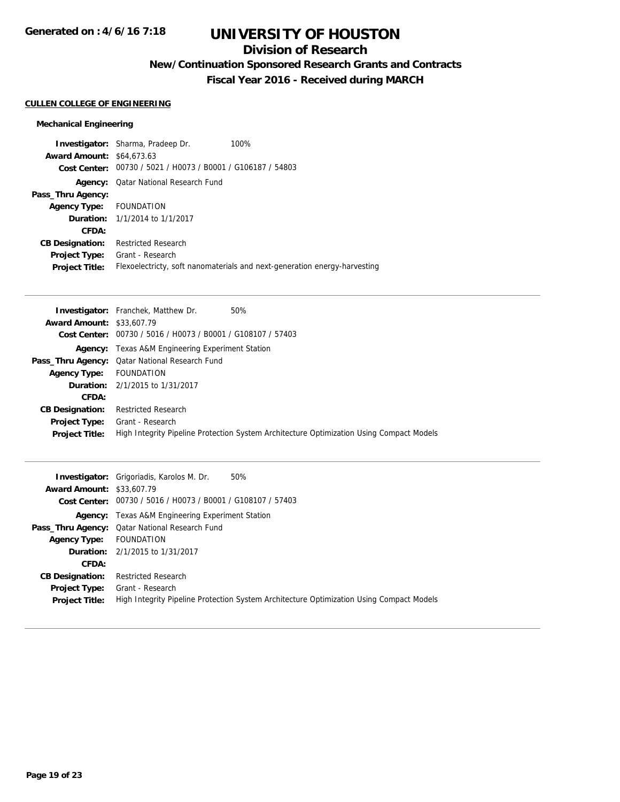# **Division of Research**

**New/Continuation Sponsored Research Grants and Contracts**

**Fiscal Year 2016 - Received during MARCH**

## **CULLEN COLLEGE OF ENGINEERING**

## **Mechanical Engineering**

|                                  | <b>Investigator:</b> Sharma, Pradeep Dr.                    | 100%                                                                      |
|----------------------------------|-------------------------------------------------------------|---------------------------------------------------------------------------|
| <b>Award Amount: \$64,673,63</b> |                                                             |                                                                           |
|                                  | Cost Center: 00730 / 5021 / H0073 / B0001 / G106187 / 54803 |                                                                           |
|                                  | <b>Agency:</b> Qatar National Research Fund                 |                                                                           |
| Pass_Thru Agency:                |                                                             |                                                                           |
| <b>Agency Type:</b>              | FOUNDATION                                                  |                                                                           |
|                                  | <b>Duration:</b> 1/1/2014 to 1/1/2017                       |                                                                           |
| CFDA:                            |                                                             |                                                                           |
| <b>CB Designation:</b>           | <b>Restricted Research</b>                                  |                                                                           |
| <b>Project Type:</b>             | Grant - Research                                            |                                                                           |
| <b>Project Title:</b>            |                                                             | Flexoelectricty, soft nanomaterials and next-generation energy-harvesting |

|                                  | <b>Investigator:</b> Franchek, Matthew Dr.<br>50%                                        |
|----------------------------------|------------------------------------------------------------------------------------------|
| <b>Award Amount: \$33,607.79</b> |                                                                                          |
|                                  | Cost Center: 00730 / 5016 / H0073 / B0001 / G108107 / 57403                              |
|                                  | <b>Agency:</b> Texas A&M Engineering Experiment Station                                  |
|                                  | <b>Pass_Thru Agency:</b> Qatar National Research Fund                                    |
| <b>Agency Type:</b>              | FOUNDATION                                                                               |
|                                  | <b>Duration:</b> 2/1/2015 to 1/31/2017                                                   |
| CFDA:                            |                                                                                          |
| <b>CB Designation:</b>           | <b>Restricted Research</b>                                                               |
| <b>Project Type:</b>             | Grant - Research                                                                         |
| <b>Project Title:</b>            | High Integrity Pipeline Protection System Architecture Optimization Using Compact Models |

|                                  | 50%<br><b>Investigator:</b> Grigoriadis, Karolos M. Dr.                                  |
|----------------------------------|------------------------------------------------------------------------------------------|
| <b>Award Amount: \$33,607.79</b> |                                                                                          |
|                                  | Cost Center: 00730 / 5016 / H0073 / B0001 / G108107 / 57403                              |
|                                  | <b>Agency:</b> Texas A&M Engineering Experiment Station                                  |
|                                  | <b>Pass_Thru Agency:</b> Qatar National Research Fund                                    |
| <b>Agency Type:</b>              | FOUNDATION                                                                               |
|                                  | <b>Duration:</b> 2/1/2015 to 1/31/2017                                                   |
| CFDA:                            |                                                                                          |
| <b>CB Designation:</b>           | <b>Restricted Research</b>                                                               |
| <b>Project Type:</b>             | Grant - Research                                                                         |
| <b>Project Title:</b>            | High Integrity Pipeline Protection System Architecture Optimization Using Compact Models |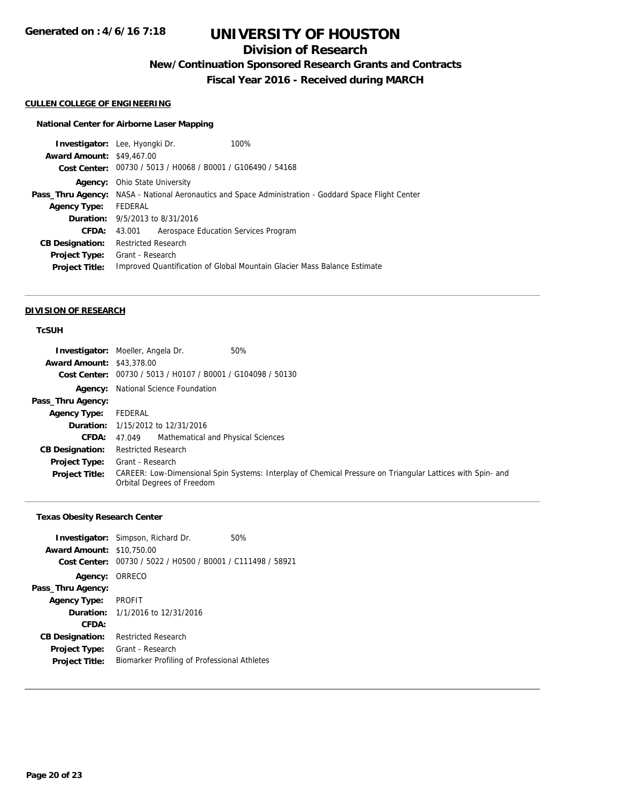# **Division of Research**

**New/Continuation Sponsored Research Grants and Contracts**

**Fiscal Year 2016 - Received during MARCH**

### **CULLEN COLLEGE OF ENGINEERING**

## **National Center for Airborne Laser Mapping**

|                                  | Investigator: Lee, Hyongki Dr.                              | 100%                                                                                                 |
|----------------------------------|-------------------------------------------------------------|------------------------------------------------------------------------------------------------------|
| <b>Award Amount: \$49,467.00</b> |                                                             |                                                                                                      |
|                                  | Cost Center: 00730 / 5013 / H0068 / B0001 / G106490 / 54168 |                                                                                                      |
|                                  | <b>Agency:</b> Ohio State University                        |                                                                                                      |
|                                  |                                                             | Pass_Thru Agency: NASA - National Aeronautics and Space Administration - Goddard Space Flight Center |
| <b>Agency Type:</b>              | FEDERAL                                                     |                                                                                                      |
|                                  | <b>Duration:</b> 9/5/2013 to 8/31/2016                      |                                                                                                      |
| <b>CFDA:</b>                     | Aerospace Education Services Program<br>43.001              |                                                                                                      |
| <b>CB Designation:</b>           | <b>Restricted Research</b>                                  |                                                                                                      |
| <b>Project Type:</b>             | Grant - Research                                            |                                                                                                      |
| <b>Project Title:</b>            |                                                             | Improved Quantification of Global Mountain Glacier Mass Balance Estimate                             |
|                                  |                                                             |                                                                                                      |

#### **DIVISION OF RESEARCH**

## **TcSUH**

|                                  | 50%<br><b>Investigator:</b> Moeller, Angela Dr.                                                                                          |
|----------------------------------|------------------------------------------------------------------------------------------------------------------------------------------|
| <b>Award Amount: \$43,378.00</b> |                                                                                                                                          |
|                                  | Cost Center: 00730 / 5013 / H0107 / B0001 / G104098 / 50130                                                                              |
|                                  | <b>Agency:</b> National Science Foundation                                                                                               |
| Pass_Thru Agency:                |                                                                                                                                          |
| <b>Agency Type:</b>              | FEDERAL                                                                                                                                  |
|                                  | <b>Duration:</b> 1/15/2012 to 12/31/2016                                                                                                 |
| <b>CFDA:</b>                     | Mathematical and Physical Sciences<br>47.049                                                                                             |
| <b>CB Designation:</b>           | <b>Restricted Research</b>                                                                                                               |
| <b>Project Type:</b>             | Grant - Research                                                                                                                         |
| <b>Project Title:</b>            | CAREER: Low-Dimensional Spin Systems: Interplay of Chemical Pressure on Triangular Lattices with Spin- and<br>Orbital Degrees of Freedom |

## **Texas Obesity Research Center**

|                                  | <b>Investigator:</b> Simpson, Richard Dr.                   | 50% |
|----------------------------------|-------------------------------------------------------------|-----|
| <b>Award Amount: \$10,750.00</b> |                                                             |     |
|                                  | Cost Center: 00730 / 5022 / H0500 / B0001 / C111498 / 58921 |     |
| Agency: ORRECO                   |                                                             |     |
| Pass_Thru Agency:                |                                                             |     |
| <b>Agency Type: PROFIT</b>       |                                                             |     |
|                                  | <b>Duration:</b> 1/1/2016 to 12/31/2016                     |     |
| CFDA:                            |                                                             |     |
| <b>CB Designation:</b>           | Restricted Research                                         |     |
| <b>Project Type:</b>             | Grant - Research                                            |     |
| <b>Project Title:</b>            | Biomarker Profiling of Professional Athletes                |     |
|                                  |                                                             |     |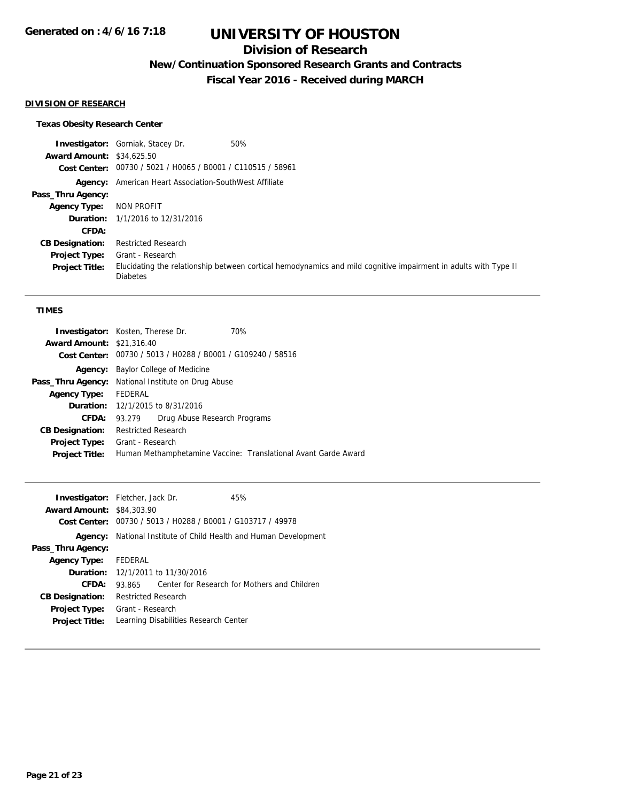# **Division of Research**

**New/Continuation Sponsored Research Grants and Contracts**

**Fiscal Year 2016 - Received during MARCH**

## **DIVISION OF RESEARCH**

## **Texas Obesity Research Center**

|                                  | <b>Investigator:</b> Gorniak, Stacey Dr.                      | 50%                                                                                                             |
|----------------------------------|---------------------------------------------------------------|-----------------------------------------------------------------------------------------------------------------|
| <b>Award Amount: \$34,625.50</b> |                                                               |                                                                                                                 |
|                                  | Cost Center: 00730 / 5021 / H0065 / B0001 / C110515 / 58961   |                                                                                                                 |
|                                  | <b>Agency:</b> American Heart Association-SouthWest Affiliate |                                                                                                                 |
| Pass_Thru Agency:                |                                                               |                                                                                                                 |
| <b>Agency Type:</b>              | NON PROFIT                                                    |                                                                                                                 |
|                                  | <b>Duration:</b> 1/1/2016 to 12/31/2016                       |                                                                                                                 |
| <b>CFDA:</b>                     |                                                               |                                                                                                                 |
| <b>CB Designation:</b>           | <b>Restricted Research</b>                                    |                                                                                                                 |
| <b>Project Type:</b>             | Grant - Research                                              |                                                                                                                 |
| <b>Project Title:</b>            | <b>Diabetes</b>                                               | Elucidating the relationship between cortical hemodynamics and mild cognitive impairment in adults with Type II |

## **TIMES**

|                                  | 70%<br><b>Investigator:</b> Kosten, Therese Dr.                |
|----------------------------------|----------------------------------------------------------------|
| <b>Award Amount: \$21,316.40</b> |                                                                |
|                                  | Cost Center: 00730 / 5013 / H0288 / B0001 / G109240 / 58516    |
| Agency:                          | Baylor College of Medicine                                     |
|                                  | <b>Pass_Thru Agency:</b> National Institute on Drug Abuse      |
| Agency Type: FEDERAL             |                                                                |
|                                  | <b>Duration:</b> 12/1/2015 to 8/31/2016                        |
| CFDA:                            | Drug Abuse Research Programs<br>93.279                         |
| <b>CB Designation:</b>           | Restricted Research                                            |
| <b>Project Type:</b>             | Grant - Research                                               |
| <b>Project Title:</b>            | Human Methamphetamine Vaccine: Translational Avant Garde Award |
|                                  |                                                                |

| <b>Investigator:</b> Fletcher, Jack Dr. |                            |                                          | 45%                                                      |  |
|-----------------------------------------|----------------------------|------------------------------------------|----------------------------------------------------------|--|
| <b>Award Amount: \$84,303.90</b>        |                            |                                          |                                                          |  |
| Cost Center:                            |                            |                                          | 00730 / 5013 / H0288 / B0001 / G103717 / 49978           |  |
| Agency:                                 |                            |                                          | National Institute of Child Health and Human Development |  |
| Pass_Thru Agency:                       |                            |                                          |                                                          |  |
| <b>Agency Type:</b>                     | FEDERAL                    |                                          |                                                          |  |
|                                         |                            | <b>Duration:</b> 12/1/2011 to 11/30/2016 |                                                          |  |
| CFDA:                                   | 93.865                     |                                          | Center for Research for Mothers and Children             |  |
| <b>CB Designation:</b>                  | <b>Restricted Research</b> |                                          |                                                          |  |
| <b>Project Type:</b>                    | Grant - Research           |                                          |                                                          |  |
| <b>Project Title:</b>                   |                            | Learning Disabilities Research Center    |                                                          |  |
|                                         |                            |                                          |                                                          |  |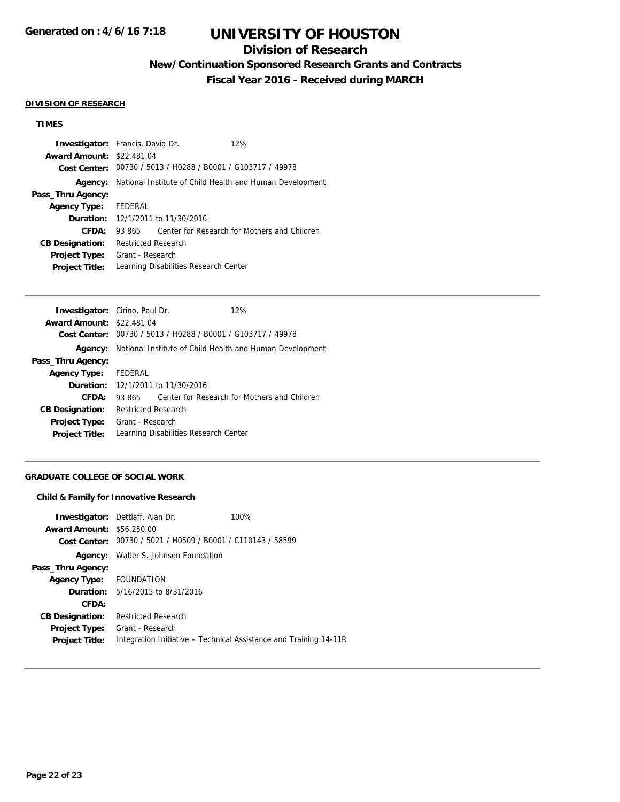# **Division of Research**

**New/Continuation Sponsored Research Grants and Contracts**

**Fiscal Year 2016 - Received during MARCH**

### **DIVISION OF RESEARCH**

## **TIMES**

| <b>Investigator:</b> Francis, David Dr.  |                            | 12%                                                         |                                                          |
|------------------------------------------|----------------------------|-------------------------------------------------------------|----------------------------------------------------------|
| <b>Award Amount: \$22,481.04</b>         |                            |                                                             |                                                          |
|                                          |                            | Cost Center: 00730 / 5013 / H0288 / B0001 / G103717 / 49978 |                                                          |
| Agency:                                  |                            |                                                             | National Institute of Child Health and Human Development |
| Pass_Thru Agency:                        |                            |                                                             |                                                          |
| Agency Type: FEDERAL                     |                            |                                                             |                                                          |
| <b>Duration:</b> 12/1/2011 to 11/30/2016 |                            |                                                             |                                                          |
| CFDA:                                    | 93.865                     |                                                             | Center for Research for Mothers and Children             |
| <b>CB Designation:</b>                   | <b>Restricted Research</b> |                                                             |                                                          |
| <b>Project Type:</b>                     | Grant - Research           |                                                             |                                                          |
| <b>Project Title:</b>                    |                            | Learning Disabilities Research Center                       |                                                          |

|         | 12%                                                                                                                                                                                                                                                                             |
|---------|---------------------------------------------------------------------------------------------------------------------------------------------------------------------------------------------------------------------------------------------------------------------------------|
|         |                                                                                                                                                                                                                                                                                 |
|         |                                                                                                                                                                                                                                                                                 |
|         | National Institute of Child Health and Human Development                                                                                                                                                                                                                        |
|         |                                                                                                                                                                                                                                                                                 |
| FEDERAL |                                                                                                                                                                                                                                                                                 |
|         |                                                                                                                                                                                                                                                                                 |
| 93.865  | Center for Research for Mothers and Children                                                                                                                                                                                                                                    |
|         |                                                                                                                                                                                                                                                                                 |
|         |                                                                                                                                                                                                                                                                                 |
|         |                                                                                                                                                                                                                                                                                 |
|         | <b>Investigator:</b> Cirino, Paul Dr.<br><b>Award Amount: \$22,481.04</b><br>Cost Center: 00730 / 5013 / H0288 / B0001 / G103717 / 49978<br><b>Duration:</b> 12/1/2011 to 11/30/2016<br><b>Restricted Research</b><br>Grant - Research<br>Learning Disabilities Research Center |

## **GRADUATE COLLEGE OF SOCIAL WORK**

### **Child & Family for Innovative Research**

|                                  | <b>Investigator:</b> Dettlaff, Alan Dr.                     | 100%                                                              |
|----------------------------------|-------------------------------------------------------------|-------------------------------------------------------------------|
| <b>Award Amount: \$56,250.00</b> |                                                             |                                                                   |
|                                  | Cost Center: 00730 / 5021 / H0509 / B0001 / C110143 / 58599 |                                                                   |
|                                  | <b>Agency:</b> Walter S. Johnson Foundation                 |                                                                   |
| Pass_Thru Agency:                |                                                             |                                                                   |
| Agency Type: FOUNDATION          |                                                             |                                                                   |
|                                  | <b>Duration:</b> 5/16/2015 to 8/31/2016                     |                                                                   |
| CFDA:                            |                                                             |                                                                   |
| <b>CB Designation:</b>           | <b>Restricted Research</b>                                  |                                                                   |
| <b>Project Type:</b>             | Grant - Research                                            |                                                                   |
| <b>Project Title:</b>            |                                                             | Integration Initiative – Technical Assistance and Training 14-11R |